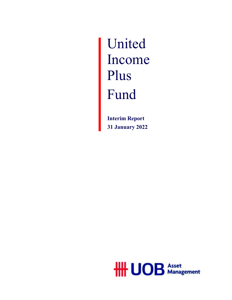United Income Plus Fund

> **Interim Report 31 January 2022**

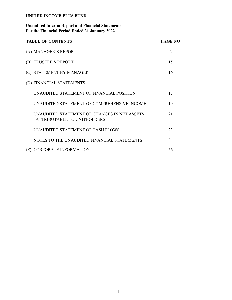## **Unaudited Interim Report and Financial Statements For the Financial Period Ended 31 January 2022**

| <b>TABLE OF CONTENTS</b>                                                    | <b>PAGE NO</b> |
|-----------------------------------------------------------------------------|----------------|
| (A) MANAGER'S REPORT                                                        | $\overline{2}$ |
| (B) TRUSTEE'S REPORT                                                        | 15             |
| (C) STATEMENT BY MANAGER                                                    | 16             |
| (D) FINANCIAL STATEMENTS                                                    |                |
| UNAUDITED STATEMENT OF FINANCIAL POSITION                                   | 17             |
| UNAUDITED STATEMENT OF COMPREHENSIVE INCOME                                 | 19             |
| UNAUDITED STATEMENT OF CHANGES IN NET ASSETS<br>ATTRIBUTABLE TO UNITHOLDERS | 21             |
| UNAUDITED STATEMENT OF CASH FLOWS                                           | 23             |
| NOTES TO THE UNAUDITED FINANCIAL STATEMENTS                                 | 24             |
| (E) CORPORATE INFORMATION                                                   | 56             |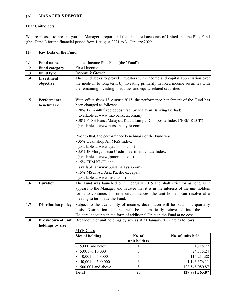## **(A) MANAGER'S REPORT**

Dear Unitholders,

We are pleased to present you the Manager's report and the unaudited accounts of United Income Plus Fund (the "Fund") for the financial period from 1 August 2021 to 31 January 2022.

## **(1) Key Data of the Fund**

| $\frac{1.1}{1.2}$<br>$\frac{1.3}{1.3}$ | <b>Fund name</b>           | United Income Plus Fund (the "Fund")                                               |                                                                               |                                                                                 |  |  |  |
|----------------------------------------|----------------------------|------------------------------------------------------------------------------------|-------------------------------------------------------------------------------|---------------------------------------------------------------------------------|--|--|--|
|                                        | <b>Fund category</b>       | Fixed Income                                                                       |                                                                               |                                                                                 |  |  |  |
|                                        | <b>Fund type</b>           | Income & Growth                                                                    |                                                                               |                                                                                 |  |  |  |
| 1.4                                    | <b>Investment</b>          |                                                                                    | The Fund seeks to provide investors with income and capital appreciation over |                                                                                 |  |  |  |
|                                        | objective                  |                                                                                    |                                                                               | the medium to long term by investing primarily in fixed income securities with  |  |  |  |
|                                        |                            |                                                                                    | the remaining investing in equities and equity-related securities.            |                                                                                 |  |  |  |
|                                        |                            |                                                                                    |                                                                               |                                                                                 |  |  |  |
| 1.5                                    | Performance                |                                                                                    |                                                                               | With effect from 13 August 2015, the performance benchmark of the Fund has      |  |  |  |
|                                        | benchmark                  | been changed as follows:                                                           |                                                                               |                                                                                 |  |  |  |
|                                        |                            |                                                                                    | · 70% 12 month fixed deposit rate by Malayan Banking Berhad;                  |                                                                                 |  |  |  |
|                                        |                            |                                                                                    | (available at www.maybank2u.com.my)                                           |                                                                                 |  |  |  |
|                                        |                            |                                                                                    | · 30% FTSE Bursa Malaysia Kuala Lumpur Composite Index ("FBM KLCI")           |                                                                                 |  |  |  |
|                                        |                            | (available at www.bursamalaysia.com)                                               |                                                                               |                                                                                 |  |  |  |
|                                        |                            |                                                                                    |                                                                               |                                                                                 |  |  |  |
|                                        |                            |                                                                                    | Prior to that, the performance benchmark of the Fund was:                     |                                                                                 |  |  |  |
|                                        |                            | • 35% Quantshop All MGS Index;                                                     |                                                                               |                                                                                 |  |  |  |
|                                        |                            | (available at www.quantshop.com)                                                   |                                                                               |                                                                                 |  |  |  |
|                                        |                            |                                                                                    | · 35% JP Morgan Asia Credit Investment Grade Index;                           |                                                                                 |  |  |  |
|                                        |                            | (available at www.jpmorgan.com)                                                    |                                                                               |                                                                                 |  |  |  |
|                                        |                            | • 15% FBM KLCI; and                                                                |                                                                               |                                                                                 |  |  |  |
|                                        |                            | (available at www.bursamalaysia.com)                                               |                                                                               |                                                                                 |  |  |  |
|                                        |                            | · 15% MSCI AC Asia Pacific ex Japan.                                               |                                                                               |                                                                                 |  |  |  |
|                                        |                            |                                                                                    | (available at www.msci.com)                                                   |                                                                                 |  |  |  |
| 1.6                                    | <b>Duration</b>            |                                                                                    |                                                                               | The Fund was launched on 9 February 2015 and shall exist for as long as it      |  |  |  |
|                                        |                            | appears to the Manager and Trustee that it is in the interests of the unit holders |                                                                               |                                                                                 |  |  |  |
|                                        |                            |                                                                                    |                                                                               | for it to continue. In some circumstances, the unit holders can resolve at a    |  |  |  |
|                                        |                            | meeting to terminate the Fund.                                                     |                                                                               |                                                                                 |  |  |  |
| 1.7                                    | <b>Distribution policy</b> |                                                                                    |                                                                               | Subject to the availability of income, distribution will be paid on a quarterly |  |  |  |
|                                        |                            |                                                                                    |                                                                               | basis. Distribution declared will be automatically reinvested into the Unit     |  |  |  |
|                                        |                            |                                                                                    | Holders' accounts in the form of additional Units in the Fund at no cost.     |                                                                                 |  |  |  |
| 1.8                                    | <b>Breakdown of unit</b>   |                                                                                    | Breakdown of unit holdings by size as at 31 January 2022 are as follows:      |                                                                                 |  |  |  |
|                                        | holdings by size           |                                                                                    |                                                                               |                                                                                 |  |  |  |
|                                        |                            | <b>MYR Class</b>                                                                   |                                                                               |                                                                                 |  |  |  |
|                                        |                            | <b>Size of holding</b>                                                             | No. of                                                                        | No. of units held                                                               |  |  |  |
|                                        |                            |                                                                                    | unit holders                                                                  |                                                                                 |  |  |  |
|                                        |                            | 5,000 and below                                                                    |                                                                               | 1,218.77                                                                        |  |  |  |
|                                        |                            | 5,001 to 10,000                                                                    | 3                                                                             | 24,375.24                                                                       |  |  |  |
|                                        |                            | 10,001 to 50,000                                                                   | 5                                                                             | 114,214.88                                                                      |  |  |  |
|                                        |                            | 50,001 to 500,000                                                                  | 6                                                                             | 1,193,376.11                                                                    |  |  |  |
|                                        |                            | 500,001 and above                                                                  | 8                                                                             | 128,548,080.87                                                                  |  |  |  |
|                                        |                            | <b>Total</b>                                                                       | 23                                                                            | 129,881,265.87                                                                  |  |  |  |
|                                        |                            |                                                                                    |                                                                               |                                                                                 |  |  |  |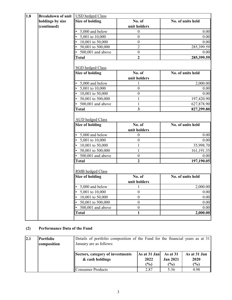| 1.8 | <b>Breakdown of unit</b> | <b>USD</b> hedged Class                           |                  |                   |
|-----|--------------------------|---------------------------------------------------|------------------|-------------------|
|     | holdings by size         | <b>Size of holding</b>                            | No. of           | No. of units held |
|     | (continued)              |                                                   | unit holders     |                   |
|     |                          | 5,000 and below                                   | $\boldsymbol{0}$ | 0.00              |
|     |                          | 5,001 to 10,000                                   | $\boldsymbol{0}$ | 0.00              |
|     |                          | 10,001 to 50,000                                  | $\overline{0}$   | 0.00              |
|     |                          | 50,001 to 500,000                                 | $\overline{2}$   | 285,399.59        |
|     |                          | 500,001 and above                                 | $\boldsymbol{0}$ | 0.00              |
|     |                          | <b>Total</b>                                      | $\overline{2}$   | 285,399.59        |
|     |                          | <b>SGD</b> hedged Class                           |                  |                   |
|     |                          | <b>Size of holding</b>                            | No. of           | No. of units held |
|     |                          |                                                   | unit holders     |                   |
|     |                          | 5,000 and below                                   |                  | 2,000.00          |
|     |                          | 5,001 to 10,000                                   | $\boldsymbol{0}$ | 0.00              |
|     |                          | 10,001 to 50,000                                  | $\boldsymbol{0}$ | 0.00              |
|     |                          | 50,001 to 500,000                                 | $\mathbf{1}$     | 197,420.90        |
|     |                          | 500,001 and above                                 | $\mathbf{1}$     | 627,878.90        |
|     |                          | <b>Total</b>                                      | $\mathbf{3}$     | 827,299.80        |
|     |                          | <b>AUD</b> hedged Class<br><b>Size of holding</b> | No. of           | No. of units held |
|     |                          |                                                   | unit holders     |                   |
|     |                          | 5,000 and below                                   | $\boldsymbol{0}$ | 0.00              |
|     |                          | 5,001 to 10,000                                   | $\boldsymbol{0}$ | 0.00              |
|     |                          | 10,001 to 50,000                                  | $\mathbf{1}$     | 35,998.70         |
|     |                          | $\overline{50,}001$ to $500,000$                  | 1                | 161,191.35        |
|     |                          | 500,001 and above                                 | $\boldsymbol{0}$ | 0.00              |
|     |                          | <b>Total</b>                                      | $\overline{2}$   | 197,190.05        |
|     |                          | <b>RMB</b> hedged Class                           |                  |                   |
|     |                          | <b>Size of holding</b>                            | No. of           | No. of units held |
|     |                          |                                                   | unit holders     |                   |
|     |                          | 5,000 and below                                   | 1                | 2,000.00          |
|     |                          | 5,001 to 10,000                                   | $\boldsymbol{0}$ | 0.00              |
|     |                          | $10,001$ to $50,000$                              | $\boldsymbol{0}$ | 0.00              |
|     |                          | 50,001 to 500,000                                 | $\boldsymbol{0}$ | 0.00              |
|     |                          | 500,001 and above                                 | $\boldsymbol{0}$ | 0.00              |
|     |                          | Total                                             | $\mathbf{1}$     | 2,000.00          |

# **(2) Performance Data of the Fund**

| 2.1 | <b>Portfolio</b><br>composition | Details of portfolio composition of the Fund for the financial years as at 31<br>January are as follows: |                                         |                                    |                             |
|-----|---------------------------------|----------------------------------------------------------------------------------------------------------|-----------------------------------------|------------------------------------|-----------------------------|
|     |                                 | Sectors, category of investments<br>& cash holdings                                                      | As at $31$ Jan<br>2022<br>$\frac{6}{6}$ | As at 31<br><b>Jan 2021</b><br>(%) | As at 31 Jan<br>2020<br>(%) |
|     |                                 | Consumer Products                                                                                        | 2.87                                    | 5.36                               | 4.98                        |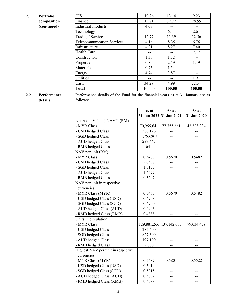| 2.1 | <b>Portfolio</b> | <b>CIS</b>                                                                      | 10.26      | 13.14                   | 9.23                             |
|-----|------------------|---------------------------------------------------------------------------------|------------|-------------------------|----------------------------------|
|     | composition      | Finance                                                                         | 13.71      | 32.77                   | 28.55                            |
|     | (continued)      | <b>Industrial Products</b>                                                      | 4.07       |                         |                                  |
|     |                  | Technology                                                                      | $-$        | --<br>6.41              | $\overline{\phantom{a}}$<br>2.61 |
|     |                  |                                                                                 |            |                         |                                  |
|     |                  | Trading/ Services                                                               | 12.77      | 11.39                   | 12.56                            |
|     |                  | <b>Telecommunication Services</b>                                               | 4.16       | 8.35                    | 6.76                             |
|     |                  | Infrastructure                                                                  | 4.21       | 8.27                    | 7.40                             |
|     |                  | <b>Health Care</b>                                                              | $-$        | $-$                     | 2.17                             |
|     |                  | Construction                                                                    | 1.36       | 1.32                    |                                  |
|     |                  | Properties                                                                      | 6.80       | 2.59                    | 1.49                             |
|     |                  | Materials                                                                       | 0.75       | 1.54                    | $\overline{\phantom{a}}$         |
|     |                  | Energy                                                                          | 4.74       | 3.87                    | $-$                              |
|     |                  | Utilities                                                                       |            |                         | 1.91                             |
|     |                  | Cash                                                                            | 34.29      | 4.99                    | 22.34                            |
|     |                  | <b>Total</b>                                                                    | 100.00     | 100.00                  | 100.00                           |
| 2.2 | Performance      | Performance details of the Fund for the financial years as at 31 January are as |            |                         |                                  |
|     | details          | follows:                                                                        | As at      | As at                   | As at                            |
|     |                  |                                                                                 |            | 31 Jan 2022 31 Jan 2021 | 31 Jan 2020                      |
|     |                  | Net Asset Value ("NAV") (RM)                                                    |            |                         |                                  |
|     |                  | - MYR Class                                                                     | 70,955,641 | 77,755,661              | 43,323,234                       |
|     |                  | - USD hedged Class                                                              | 586,126    |                         |                                  |
|     |                  | - SGD hedged Class                                                              | 1,253,967  |                         |                                  |
|     |                  | - AUD hedged Class                                                              | 287,443    |                         |                                  |
|     |                  | - RMB hedged Class                                                              | 641        |                         |                                  |
|     |                  | NAV per unit (RM)                                                               |            |                         |                                  |
|     |                  | - MYR Class                                                                     |            |                         |                                  |
|     |                  |                                                                                 | 0.5463     | 0.5670                  | 0.5482                           |
|     |                  | - USD hedged Class                                                              | 2.0537     |                         |                                  |
|     |                  | - SGD hedged Class                                                              | 1.5157     |                         |                                  |
|     |                  | - AUD hedged Class                                                              | 1.4577     |                         |                                  |
|     |                  | - RMB hedged Class                                                              | 0.3207     |                         |                                  |
|     |                  | NAV per unit in respective                                                      |            |                         |                                  |
|     |                  | currencies                                                                      |            |                         |                                  |
|     |                  | - MYR Class (MYR)                                                               | 0.5463     | 0.5670                  | 0.5482                           |
|     |                  | - USD hedged Class (USD)                                                        | 0.4908     |                         |                                  |
|     |                  | - SGD hedged Class (SGD)                                                        | 0.4900     |                         |                                  |
|     |                  | - AUD hedged Class (AUD)                                                        | 0.4943     |                         |                                  |
|     |                  | - RMB hedged Class (RMB)                                                        | 0.4888     |                         |                                  |
|     |                  | Units in circulation                                                            |            |                         |                                  |
|     |                  | - MYR Class                                                                     |            | 129,881,266 137,142,003 | 79,034,459                       |
|     |                  | - USD hedged Class                                                              | 285,400    |                         |                                  |
|     |                  | - SGD hedged Class                                                              | 827,300    |                         |                                  |
|     |                  | - AUD hedged Class                                                              | 197,190    |                         |                                  |
|     |                  | - RMB hedged Class                                                              | 2,000      |                         |                                  |
|     |                  | Highest NAV per unit in respective                                              |            |                         |                                  |
|     |                  | currencies                                                                      |            |                         |                                  |
|     |                  | - MYR Class (MYR)                                                               | 0.5687     | 0.5801                  | 0.5522                           |
|     |                  | - USD hedged Class (USD)                                                        | 0.5014     |                         |                                  |
|     |                  | - SGD hedged Class (SGD)                                                        | 0.5015     |                         |                                  |
|     |                  | - AUD hedged Class (AUD)                                                        | 0.5032     |                         |                                  |
|     |                  |                                                                                 |            |                         |                                  |
|     |                  | - RMB hedged Class (RMB)                                                        | 0.5022     |                         |                                  |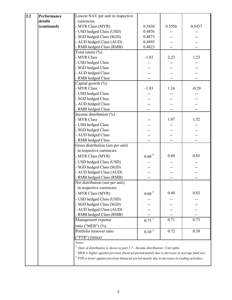| 2.2 | Performance | Lowest NAV per unit in respective                                                                                                                                                  |                     |        |         |
|-----|-------------|------------------------------------------------------------------------------------------------------------------------------------------------------------------------------------|---------------------|--------|---------|
|     | details     | currencies                                                                                                                                                                         |                     |        |         |
|     | (continued) | - MYR Class (MYR)                                                                                                                                                                  | 0.5430              | 0.5556 | 0.5437  |
|     |             | - USD hedged Class (USD)                                                                                                                                                           | 0.4876              |        |         |
|     |             | - SGD hedged Class (SGD)                                                                                                                                                           | 0.4873              |        |         |
|     |             | - AUD hedged Class (AUD)                                                                                                                                                           | 0.4893              |        |         |
|     |             | - RMB hedged Class (RMB)                                                                                                                                                           | 0.4823              |        |         |
|     |             | Total return $(\% )$                                                                                                                                                               |                     |        |         |
|     |             | - MYR Class                                                                                                                                                                        | $-1.83$             | 2.23   | 1.23    |
|     |             | - USD hedged Class                                                                                                                                                                 |                     |        |         |
|     |             | - SGD hedged Class                                                                                                                                                                 |                     |        |         |
|     |             | - AUD hedged Class                                                                                                                                                                 |                     |        |         |
|     |             | - RMB hedged Class                                                                                                                                                                 |                     |        |         |
|     |             | Capital growth $(\%)$                                                                                                                                                              |                     |        |         |
|     |             | - MYR Class                                                                                                                                                                        | $-1.83$             | 1.16   | $-0.29$ |
|     |             | - USD hedged Class                                                                                                                                                                 |                     |        |         |
|     |             | - SGD hedged Class                                                                                                                                                                 |                     |        |         |
|     |             | - AUD hedged Class                                                                                                                                                                 |                     |        |         |
|     |             | - RMB hedged Class                                                                                                                                                                 |                     | --     |         |
|     |             | Income distribution (%)                                                                                                                                                            |                     |        |         |
|     |             | - MYR Class                                                                                                                                                                        |                     | 1.07   | 1.52    |
|     |             | - USD hedged Class                                                                                                                                                                 |                     |        |         |
|     |             | - SGD hedged Class                                                                                                                                                                 |                     |        |         |
|     |             | - AUD hedged Class                                                                                                                                                                 |                     |        |         |
|     |             | - RMB hedged Class                                                                                                                                                                 |                     |        |         |
|     |             | Gross distribution (sen per unit)<br>in respective currencies                                                                                                                      |                     |        |         |
|     |             | - MYR Class (MYR)                                                                                                                                                                  | $0.60$ $^{\#}$      | 0.60   | 0.83    |
|     |             | - USD hedged Class (USD)                                                                                                                                                           |                     |        |         |
|     |             | - SGD hedged Class (SGD)                                                                                                                                                           |                     |        |         |
|     |             | - AUD hedged Class (AUD)                                                                                                                                                           |                     |        |         |
|     |             | - RMB hedged Class (RMB)                                                                                                                                                           | $-$                 | --     |         |
|     |             | Net distribution (sen per unit)<br>in respective currencies                                                                                                                        |                     |        |         |
|     |             | - MYR Class (MYR)                                                                                                                                                                  | $0.60$ $^{\#}$      | 0.60   | 0.83    |
|     |             | - USD hedged Class (USD)                                                                                                                                                           |                     |        |         |
|     |             | - SGD hedged Class (SGD)                                                                                                                                                           |                     |        |         |
|     |             | - AUD hedged Class (AUD)                                                                                                                                                           |                     |        |         |
|     |             | - RMB hedged Class (RMB)                                                                                                                                                           |                     |        |         |
|     |             | Management expense                                                                                                                                                                 | $0.73$ <sup>1</sup> | 0.71   | 0.73    |
|     |             | ratio ("MER") (%)                                                                                                                                                                  |                     |        |         |
|     |             | Portfolio turnover ratio                                                                                                                                                           | $0.30^{2}$          | 0.72   | 0.38    |
|     |             | $("PTR")$ (times)                                                                                                                                                                  |                     |        |         |
|     |             |                                                                                                                                                                                    |                     |        |         |
|     |             | Notes:                                                                                                                                                                             |                     |        |         |
|     |             | $*$ Date of distribution is shown in part 2.7 - Income distribution / Unit splits.<br>MER is higher against previous financial period mainly due to decrease in average fund size. |                     |        |         |
|     |             | $3$ PTR is lower against previous financial period mainly due to decrease in trading activities.                                                                                   |                     |        |         |
|     |             |                                                                                                                                                                                    |                     |        |         |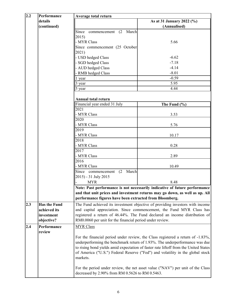| 2.2 | Performance         | Average total return                                     |                                                                                                                                                                |
|-----|---------------------|----------------------------------------------------------|----------------------------------------------------------------------------------------------------------------------------------------------------------------|
|     | details             |                                                          | As at 31 January 2022 (%)                                                                                                                                      |
|     | (continued)         |                                                          | (Annualised)                                                                                                                                                   |
|     |                     | Since<br>(2)<br>March<br>commencement                    |                                                                                                                                                                |
|     |                     | 2015)                                                    |                                                                                                                                                                |
|     |                     | - MYR Class                                              | 5.66                                                                                                                                                           |
|     |                     | Since commencement (25 October                           |                                                                                                                                                                |
|     |                     | 2021)                                                    |                                                                                                                                                                |
|     |                     | - USD hedged Class                                       | $-6.62$                                                                                                                                                        |
|     |                     | - SGD hedged Class                                       | $-7.18$                                                                                                                                                        |
|     |                     | - AUD hedged Class                                       | $-4.14$                                                                                                                                                        |
|     |                     | - RMB hedged Class                                       | $-8.01$                                                                                                                                                        |
|     |                     | 1 year                                                   | $-0.59$                                                                                                                                                        |
|     |                     | 3 year                                                   | 5.95                                                                                                                                                           |
|     |                     | 5 year                                                   | 4.44                                                                                                                                                           |
|     |                     |                                                          |                                                                                                                                                                |
|     |                     | Annual total return                                      |                                                                                                                                                                |
|     |                     | Financial year ended 31 July                             | The Fund $(\% )$                                                                                                                                               |
|     |                     | 2021                                                     |                                                                                                                                                                |
|     |                     | - MYR Class                                              | 3.53                                                                                                                                                           |
|     |                     | 2020                                                     |                                                                                                                                                                |
|     |                     | - MYR Class                                              | 5.76                                                                                                                                                           |
|     |                     | 2019                                                     |                                                                                                                                                                |
|     |                     | - MYR Class                                              | 10.17                                                                                                                                                          |
|     |                     | 2018                                                     |                                                                                                                                                                |
|     |                     | - MYR Class                                              | 0.28                                                                                                                                                           |
|     |                     | 2017                                                     |                                                                                                                                                                |
|     |                     | - MYR Class                                              | 2.89                                                                                                                                                           |
|     |                     | 2016                                                     |                                                                                                                                                                |
|     |                     | - MYR Class                                              | 10.49                                                                                                                                                          |
|     |                     | March<br>Since commencement<br>(2)                       |                                                                                                                                                                |
|     |                     | 2015) - 31 July 2015                                     |                                                                                                                                                                |
|     |                     | MYR.<br>I –                                              | 8.48                                                                                                                                                           |
|     |                     |                                                          | Note: Past performance is not necessarily indicative of future performance                                                                                     |
|     |                     |                                                          | and that unit prices and investment returns may go down, as well as up. All                                                                                    |
|     |                     | performance figures have been extracted from Bloomberg.  |                                                                                                                                                                |
| 2.3 | <b>Has the Fund</b> |                                                          | The Fund achieved its investment objective of providing investors with income                                                                                  |
|     | achieved its        |                                                          | and capital appreciation. Since commencement, the Fund MYR Class has                                                                                           |
|     | investment          |                                                          | registered a return of 46.44%. The Fund declared an income distribution of                                                                                     |
|     | objective?          | RM0.0060 per unit for the financial period under review. |                                                                                                                                                                |
| 2.4 | Performance         |                                                          |                                                                                                                                                                |
|     |                     | <b>MYR Class</b>                                         |                                                                                                                                                                |
|     | review              |                                                          |                                                                                                                                                                |
|     |                     |                                                          | For the financial period under review, the Class registered a return of -1.83%,<br>underperforming the benchmark return of 1.93%. The underperformance was due |
|     |                     |                                                          | to rising bond yields amid expectation of faster rate liftoff from the United States                                                                           |
|     |                     |                                                          | of America ("U.S.") Federal Reserve ("Fed") and volatility in the global stock                                                                                 |
|     |                     | markets.                                                 |                                                                                                                                                                |
|     |                     |                                                          |                                                                                                                                                                |
|     |                     |                                                          | For the period under review, the net asset value ("NAV") per unit of the Class                                                                                 |
|     |                     | decreased by 2.90% from RM 0.5626 to RM 0.5463.          |                                                                                                                                                                |
|     |                     |                                                          |                                                                                                                                                                |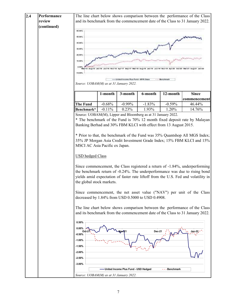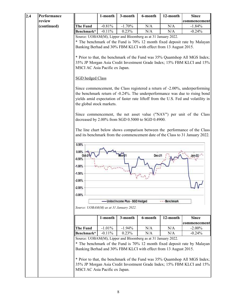| 2.4 | Performance |                                                                                                                                                                                                                                                                                                                                                                         | 1-month  | 3-month                         | 6-month                                                                                                                           | 12-month      | <b>Since</b>                                                                                                                                                |
|-----|-------------|-------------------------------------------------------------------------------------------------------------------------------------------------------------------------------------------------------------------------------------------------------------------------------------------------------------------------------------------------------------------------|----------|---------------------------------|-----------------------------------------------------------------------------------------------------------------------------------|---------------|-------------------------------------------------------------------------------------------------------------------------------------------------------------|
|     | review      |                                                                                                                                                                                                                                                                                                                                                                         |          |                                 |                                                                                                                                   |               | commencement                                                                                                                                                |
|     | (continued) | <b>The Fund</b>                                                                                                                                                                                                                                                                                                                                                         | $-0.81%$ | $-1.70%$                        | N/A                                                                                                                               | N/A           | $-1.84%$                                                                                                                                                    |
|     |             | Benchmark*                                                                                                                                                                                                                                                                                                                                                              | $-0.11%$ | 0.23%                           | N/A                                                                                                                               | N/A           | $-0.24%$                                                                                                                                                    |
|     |             | Source: UOBAM(M), Lipper and Bloomberg as at 31 January 2022.<br>* The benchmark of the Fund is 70% 12 month fixed deposit rate by Malayan<br>Banking Berhad and 30% FBM KLCI with effect from 13 August 2015.<br>* Prior to that, the benchmark of the Fund was 35% Quantshop All MGS Index;<br>35% JP Morgan Asia Credit Investment Grade Index; 15% FBM KLCI and 15% |          |                                 |                                                                                                                                   |               |                                                                                                                                                             |
|     |             | MSCI AC Asia Pacific ex Japan.<br><b>SGD</b> hedged Class                                                                                                                                                                                                                                                                                                               |          |                                 |                                                                                                                                   |               | Since commencement, the Class registered a return of -2.00%, underperforming<br>the benchmark return of -0.24%. The underperformance was due to rising bond |
|     |             | the global stock markets.                                                                                                                                                                                                                                                                                                                                               |          |                                 |                                                                                                                                   |               | yields amid expectation of faster rate liftoff from the U.S. Fed and volatility in<br>Since commencement, the net asset value ("NAV") per unit of the Class |
|     |             |                                                                                                                                                                                                                                                                                                                                                                         |          |                                 | decreased by 2.00% from SGD 0.5000 to SGD 0.4900.                                                                                 |               | The line chart below shows comparison between the performance of the Class<br>and its benchmark from the commencement date of the Class to 31 January 2022. |
|     |             | 0.50%<br>0.00%<br>Ođ<br>$-0.50%$<br>$-1.00\%$<br>$-1.50%$<br>$-2.00%$<br>$-2.50%$<br>$-3.00%$                                                                                                                                                                                                                                                                           |          |                                 | Dec-21                                                                                                                            |               |                                                                                                                                                             |
|     |             | Source: UOBAM(M) as at 31 January 2022.                                                                                                                                                                                                                                                                                                                                 |          | United Income Plus - SGD Hedged |                                                                                                                                   | --- Benchmark |                                                                                                                                                             |
|     |             |                                                                                                                                                                                                                                                                                                                                                                         | 1-month  | 3-month                         | 6-month                                                                                                                           | 12-month      | <b>Since</b><br>commencement                                                                                                                                |
|     |             | <b>The Fund</b>                                                                                                                                                                                                                                                                                                                                                         | $-1.01%$ | $-1.94%$                        | N/A                                                                                                                               | N/A           | $-2.00\%$                                                                                                                                                   |
|     |             | Benchmark*                                                                                                                                                                                                                                                                                                                                                              | $-0.11%$ | 0.23%                           | N/A                                                                                                                               | N/A           | $-0.24%$                                                                                                                                                    |
|     |             |                                                                                                                                                                                                                                                                                                                                                                         |          |                                 | Source: UOBAM(M), Lipper and Bloomberg as at 31 January 2022.<br>Banking Berhad and 30% FBM KLCI with effect from 13 August 2015. |               | * The benchmark of the Fund is 70% 12 month fixed deposit rate by Malayan                                                                                   |
|     |             | MSCI AC Asia Pacific ex Japan.                                                                                                                                                                                                                                                                                                                                          |          |                                 |                                                                                                                                   |               | * Prior to that, the benchmark of the Fund was 35% Quantshop All MGS Index;<br>35% JP Morgan Asia Credit Investment Grade Index; 15% FBM KLCI and 15%       |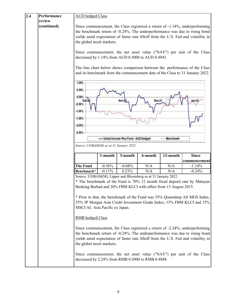| 2.4 | Performance           | <b>AUD</b> hedged Class                                                                                                           |                                                                                                                                                             |                                       |         |              |                                                                                                                                                                                                                                                   |
|-----|-----------------------|-----------------------------------------------------------------------------------------------------------------------------------|-------------------------------------------------------------------------------------------------------------------------------------------------------------|---------------------------------------|---------|--------------|---------------------------------------------------------------------------------------------------------------------------------------------------------------------------------------------------------------------------------------------------|
|     | review<br>(continued) | the global stock markets.                                                                                                         |                                                                                                                                                             |                                       |         |              | Since commencement, the Class registered a return of -1.14%, underperforming<br>the benchmark return of -0.24%. The underperformance was due to rising bond<br>yields amid expectation of faster rate liftoff from the U.S. Fed and volatility in |
|     |                       |                                                                                                                                   | Since commencement, the net asset value ("NAV") per unit of the Class<br>decreased by 1.14% from AUD 0.5000 to AUD 0.4943.                                  |                                       |         |              |                                                                                                                                                                                                                                                   |
|     |                       |                                                                                                                                   | The line chart below shows comparison between the performance of the Class<br>and its benchmark from the commencement date of the Class to 31 January 2022. |                                       |         |              |                                                                                                                                                                                                                                                   |
|     |                       | 1.00%<br>0.50%<br>0.00%<br>Dec-21<br>Nov-2<br>Odl<br>$-0.50%$<br>$-1.00%$<br>$-1.50%$<br>$-2.00\%$                                |                                                                                                                                                             |                                       |         |              |                                                                                                                                                                                                                                                   |
|     |                       | $-2.50%$                                                                                                                          |                                                                                                                                                             | -United Income Plus Fund - AUD Hedged |         | ---Benchmark |                                                                                                                                                                                                                                                   |
|     |                       | Source: UOBAM(M) as at 31 January 2022.                                                                                           |                                                                                                                                                             |                                       |         |              |                                                                                                                                                                                                                                                   |
|     |                       |                                                                                                                                   |                                                                                                                                                             |                                       |         |              |                                                                                                                                                                                                                                                   |
|     |                       |                                                                                                                                   | 1-month                                                                                                                                                     | 3-month                               | 6-month | 12-month     | <b>Since</b><br>commencemen                                                                                                                                                                                                                       |
|     |                       | <b>The Fund</b>                                                                                                                   | $-0.56%$                                                                                                                                                    | $-0.68%$                              | N/A     | N/A          | $-1.14%$                                                                                                                                                                                                                                          |
|     |                       | Benchmark*                                                                                                                        | $-0.11%$                                                                                                                                                    | 0.23%                                 | N/A     | N/A          | $-0.24%$                                                                                                                                                                                                                                          |
|     |                       | Source: UOBAM(M), Lipper and Bloomberg as at 31 January 2022.<br>Banking Berhad and 30% FBM KLCI with effect from 13 August 2015. |                                                                                                                                                             |                                       |         |              | * The benchmark of the Fund is 70% 12 month fixed deposit rate by Malayan<br>* Prior to that, the benchmark of the Fund was 35% Quantshop All MGS Index;                                                                                          |
|     |                       | 35% JP Morgan Asia Credit Investment Grade Index; 15% FBM KLCI and 15%<br>MSCI AC Asia Pacific ex Japan.                          |                                                                                                                                                             |                                       |         |              |                                                                                                                                                                                                                                                   |
|     |                       |                                                                                                                                   | RMB hedged Class                                                                                                                                            |                                       |         |              |                                                                                                                                                                                                                                                   |
|     |                       | the global stock markets.                                                                                                         |                                                                                                                                                             |                                       |         |              | Since commencement, the Class registered a return of -2.24%, underperforming<br>the benchmark return of -0.24%. The underperformance was due to rising bond<br>yields amid expectation of faster rate liftoff from the U.S. Fed and volatility in |
|     |                       | decreased by 2.24% from RMB 0.5000 to RMB 0.4888.                                                                                 |                                                                                                                                                             |                                       |         |              | Since commencement, the net asset value ("NAV") per unit of the Class                                                                                                                                                                             |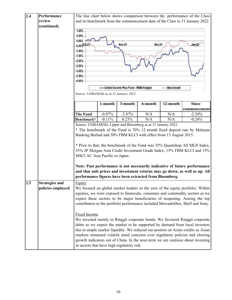| 2.4 | Performance           |                                                               |          |                                      |                                                                  |              | The line chart below shows comparison between the performance of the Class       |
|-----|-----------------------|---------------------------------------------------------------|----------|--------------------------------------|------------------------------------------------------------------|--------------|----------------------------------------------------------------------------------|
|     | review                |                                                               |          |                                      |                                                                  |              | and its benchmark from the commencement date of the Class to 31 January 2022.    |
|     | (continued)           |                                                               |          |                                      |                                                                  |              |                                                                                  |
|     |                       | 1.00%                                                         |          |                                      |                                                                  |              |                                                                                  |
|     |                       | 0.50%                                                         |          |                                      |                                                                  |              |                                                                                  |
|     |                       | 0.00%                                                         |          |                                      |                                                                  |              |                                                                                  |
|     |                       | $-0.50$ <sup>Oct-21</sup>                                     |          | <b>Nov-21</b>                        | Dec-2                                                            |              | $Jan-22$                                                                         |
|     |                       | $-1.00%$                                                      |          |                                      |                                                                  |              |                                                                                  |
|     |                       | $-1.50%$                                                      |          |                                      |                                                                  |              |                                                                                  |
|     |                       | $-2.00%$                                                      |          |                                      |                                                                  |              |                                                                                  |
|     |                       | $-2.50%$                                                      |          |                                      |                                                                  |              |                                                                                  |
|     |                       | $-3.00%$                                                      |          |                                      |                                                                  |              |                                                                                  |
|     |                       | $-3.50%$                                                      |          |                                      |                                                                  |              |                                                                                  |
|     |                       | $-4.00%$                                                      |          |                                      |                                                                  |              |                                                                                  |
|     |                       |                                                               |          |                                      |                                                                  |              |                                                                                  |
|     |                       |                                                               |          | United Income Plus Fund - RMB Hedged |                                                                  | ---Benchmark |                                                                                  |
|     |                       | Source: UOBAM(M) as at 31 January 2022.                       |          |                                      |                                                                  |              |                                                                                  |
|     |                       |                                                               |          |                                      |                                                                  |              |                                                                                  |
|     |                       |                                                               | 1-month  | 3-month                              | 6-month                                                          | 12-month     | <b>Since</b>                                                                     |
|     |                       |                                                               |          |                                      |                                                                  |              | commencement                                                                     |
|     |                       | The Fund                                                      | $-0.87%$ | $-2.47%$                             | N/A                                                              | N/A          | $-2.24%$                                                                         |
|     |                       | Benchmark*                                                    | $-0.11%$ | 0.23%                                | N/A                                                              | N/A          | $-0.24%$                                                                         |
|     |                       | Source: UOBAM(M), Lipper and Bloomberg as at 31 January 2022. |          |                                      |                                                                  |              |                                                                                  |
|     |                       |                                                               |          |                                      |                                                                  |              | * The benchmark of the Fund is 70% 12 month fixed deposit rate by Malayan        |
|     |                       |                                                               |          |                                      | Banking Berhad and 30% FBM KLCI with effect from 13 August 2015. |              |                                                                                  |
|     |                       |                                                               |          |                                      |                                                                  |              |                                                                                  |
|     |                       |                                                               |          |                                      |                                                                  |              | * Prior to that, the benchmark of the Fund was 35% Quantshop All MGS Index;      |
|     |                       |                                                               |          |                                      |                                                                  |              | 35% JP Morgan Asia Credit Investment Grade Index; 15% FBM KLCI and 15%           |
|     |                       | MSCI AC Asia Pacific ex Japan.                                |          |                                      |                                                                  |              |                                                                                  |
|     |                       |                                                               |          |                                      |                                                                  |              |                                                                                  |
|     |                       |                                                               |          |                                      |                                                                  |              | Note: Past performance is not necessarily indicative of future performance       |
|     |                       |                                                               |          |                                      |                                                                  |              | and that unit prices and investment returns may go down, as well as up. All      |
|     |                       | performance figures have been extracted from Bloomberg.       |          |                                      |                                                                  |              |                                                                                  |
| 2.5 | <b>Strategies and</b> | Equity                                                        |          |                                      |                                                                  |              |                                                                                  |
|     | policies employed     |                                                               |          |                                      |                                                                  |              | We focused on global market leaders as the core of the equity portfolio. Within  |
|     |                       |                                                               |          |                                      |                                                                  |              |                                                                                  |
|     |                       |                                                               |          |                                      |                                                                  |              | equities, we were exposed to financials, consumer and commodity sectors as we    |
|     |                       |                                                               |          |                                      |                                                                  |              | expect these sectors to be major beneficiaries of reopening. Among the top       |
|     |                       |                                                               |          |                                      |                                                                  |              | contributors to the portfolio performance included Mercadolibre, Shell and Sony. |
|     |                       |                                                               |          |                                      |                                                                  |              |                                                                                  |
|     |                       | <b>Fixed Income</b>                                           |          |                                      |                                                                  |              |                                                                                  |
|     |                       |                                                               |          |                                      |                                                                  |              | We invested mainly in Ringgit corporate bonds. We favoured Ringgit corporate     |
|     |                       |                                                               |          |                                      |                                                                  |              | debts as we expect the market to be supported by demand from local investors     |
|     |                       |                                                               |          |                                      |                                                                  |              | due to ample market liquidity. We reduced our positon on Asian credits as Asian  |
|     |                       |                                                               |          |                                      |                                                                  |              | markets remained volatile amid concerns over regulatory policies and slowing     |
|     |                       |                                                               |          |                                      |                                                                  |              | growth indicators out of China. In the near-term we are cautious about investing |
|     |                       | in sectors that have high regulatory risk.                    |          |                                      |                                                                  |              |                                                                                  |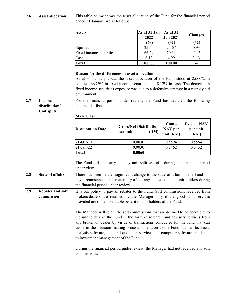| 2.6 | <b>Asset allocation</b>                              | This table below shows the asset allocation of the Fund for the financial period<br>ended 31 January are as follows:                                                                                                                                                                                                 |                                                                                                                                                                                                                                                                                                                                                                                                                                                                     |                                       |                                 |                                          |  |
|-----|------------------------------------------------------|----------------------------------------------------------------------------------------------------------------------------------------------------------------------------------------------------------------------------------------------------------------------------------------------------------------------|---------------------------------------------------------------------------------------------------------------------------------------------------------------------------------------------------------------------------------------------------------------------------------------------------------------------------------------------------------------------------------------------------------------------------------------------------------------------|---------------------------------------|---------------------------------|------------------------------------------|--|
|     |                                                      | <b>Assets</b>                                                                                                                                                                                                                                                                                                        |                                                                                                                                                                                                                                                                                                                                                                                                                                                                     | As at 31 Jan<br>2022<br>(%)           | As at 31<br><b>Jan 2021</b>     | <b>Changes</b>                           |  |
|     |                                                      | Equities                                                                                                                                                                                                                                                                                                             |                                                                                                                                                                                                                                                                                                                                                                                                                                                                     | 25.60                                 | (%)<br>24.67                    | (%)<br>0.93                              |  |
|     |                                                      | Fixed income securities                                                                                                                                                                                                                                                                                              |                                                                                                                                                                                                                                                                                                                                                                                                                                                                     | 66.29                                 | 70.34                           | $-4.05$                                  |  |
|     |                                                      | Cash                                                                                                                                                                                                                                                                                                                 |                                                                                                                                                                                                                                                                                                                                                                                                                                                                     | 8.12                                  | 4.99                            | 3.13                                     |  |
|     |                                                      | <b>Total</b>                                                                                                                                                                                                                                                                                                         |                                                                                                                                                                                                                                                                                                                                                                                                                                                                     | 100.00                                | 100.00                          | --                                       |  |
|     |                                                      |                                                                                                                                                                                                                                                                                                                      |                                                                                                                                                                                                                                                                                                                                                                                                                                                                     |                                       |                                 |                                          |  |
|     |                                                      | Reason for the differences in asset allocation<br>As at 31 January 2022, the asset allocation of the Fund stood at 25.60% in<br>equities, 66.29% in fixed income securities and 8.12% in cash. The decrease in<br>fixed income securities exposure was due to a defensive strategy in a rising yield<br>environment. |                                                                                                                                                                                                                                                                                                                                                                                                                                                                     |                                       |                                 |                                          |  |
| 2.7 | <b>Income</b><br>distribution/<br><b>Unit splits</b> | For the financial period under review, the Fund has declared the following<br>income distribution:<br><b>MYR</b> Class                                                                                                                                                                                               |                                                                                                                                                                                                                                                                                                                                                                                                                                                                     |                                       |                                 |                                          |  |
|     |                                                      | <b>Distribution Date</b>                                                                                                                                                                                                                                                                                             | per unit                                                                                                                                                                                                                                                                                                                                                                                                                                                            | <b>Gross/Net Distribution</b><br>(RM) | $Cum -$<br>NAV per<br>unit (RM) | <b>NAV</b><br>$Ex -$<br>per unit<br>(RM) |  |
|     |                                                      | 21-Oct-21                                                                                                                                                                                                                                                                                                            |                                                                                                                                                                                                                                                                                                                                                                                                                                                                     | 0.0030                                | 0.5594                          | 0.5564                                   |  |
|     |                                                      | $21-Jan-22$                                                                                                                                                                                                                                                                                                          |                                                                                                                                                                                                                                                                                                                                                                                                                                                                     | 0.0030                                | 0.5462                          | 0.5432                                   |  |
|     |                                                      | <b>Total</b>                                                                                                                                                                                                                                                                                                         |                                                                                                                                                                                                                                                                                                                                                                                                                                                                     | 0.0060                                | $-$                             | --                                       |  |
|     |                                                      | The Fund did not carry out any unit split exercise during the financial period<br>under view.                                                                                                                                                                                                                        |                                                                                                                                                                                                                                                                                                                                                                                                                                                                     |                                       |                                 |                                          |  |
| 2.8 | <b>State of affairs</b>                              | There has been neither significant change to the state of affairs of the Fund nor<br>any circumstances that materially affect any interests of the unit holders during<br>the financial period under review.                                                                                                         |                                                                                                                                                                                                                                                                                                                                                                                                                                                                     |                                       |                                 |                                          |  |
| 2.9 | <b>Rebates and soft</b><br>commission                | It is our policy to pay all rebates to the Fund. Soft commissions received from<br>brokers/dealers are retained by the Manager only if the goods and services<br>provided are of demonstrable benefit to unit holders of the Fund.                                                                                   |                                                                                                                                                                                                                                                                                                                                                                                                                                                                     |                                       |                                 |                                          |  |
|     |                                                      |                                                                                                                                                                                                                                                                                                                      | The Manager will retain the soft commissions that are deemed to be beneficial to<br>the unitholders of the Fund in the form of research and advisory services from<br>any broker or dealer by virtue of transactions conducted for the fund that can<br>assist in the decision making process in relation to the Fund such as technical<br>analysis software, data and quotation services and computer software incidental<br>to investment management of the Fund. |                                       |                                 |                                          |  |
|     |                                                      | During the financial period under review, the Manager had not received any soft<br>commissions.                                                                                                                                                                                                                      |                                                                                                                                                                                                                                                                                                                                                                                                                                                                     |                                       |                                 |                                          |  |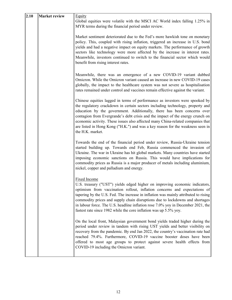| 2.10 | <b>Market review</b> | Equity<br>Global equities were volatile with the MSCI AC World index falling 1.25% in<br>MYR terms during the financial period under review.<br>Market sentiment deteriorated due to the Fed's more hawkish tone on monetary<br>policy. This, coupled with rising inflation, triggered an increase in U.S. bond<br>yields and had a negative impact on equity markets. The performance of growth<br>sectors like technology were more affected by the increase in interest rates.<br>Meanwhile, investors continued to switch to the financial sector which would<br>benefit from rising interest rates. |
|------|----------------------|----------------------------------------------------------------------------------------------------------------------------------------------------------------------------------------------------------------------------------------------------------------------------------------------------------------------------------------------------------------------------------------------------------------------------------------------------------------------------------------------------------------------------------------------------------------------------------------------------------|
|      |                      | Meanwhile, there was an emergence of a new COVID-19 variant dubbed<br>Omicron. While the Omicron variant caused an increase in new COVID-19 cases<br>globally, the impact to the healthcare system was not severe as hospitalisation<br>rates remained under control and vaccines remain effective against the variant.                                                                                                                                                                                                                                                                                  |
|      |                      | Chinese equities lagged in terms of performance as investors were spooked by<br>the regulatory crackdown in certain sectors including technology, property and<br>education by the government. Additionally, there has been concerns over<br>contagion from Evergrande's debt crisis and the impact of the energy crunch on<br>economic activity. These issues also affected many China-related companies that<br>are listed in Hong Kong ("H.K.") and was a key reason for the weakness seen in<br>the H.K. market.                                                                                     |
|      |                      | Towards the end of the financial period under review, Russia-Ukraine tension<br>started building up. Towards end Feb, Russia commenced the invasion of<br>Ukraine. The war in Ukraine has hit global markets. Many countries have started<br>imposing economic sanctions on Russia. This would have implications for<br>commodity prices as Russia is a major producer of metals including aluminium,<br>nickel, copper and palladium and energy.                                                                                                                                                        |
|      |                      | Fixed Income<br>U.S. treasury ("UST") yields edged higher on improving economic indicators,<br>optimism from vaccination rollout, inflation concerns and expectations of<br>tapering by the U.S. Fed. The increase in inflation was mainly attributed to rising<br>commodity prices and supply chain disruptions due to lockdowns and shortages<br>in labour force. The U.S. headline inflation rose 7.0% yoy in December 2021, the<br>fastest rate since 1982 while the core inflation was up 5.5% yoy.                                                                                                 |
|      |                      | On the local front, Malaysian government bond yields traded higher during the<br>period under review in tandem with rising UST yields and better visibility on<br>recovery from the pandemic. By end Jan 2022, the country's vaccination rate had<br>reached 79.4%. Furthermore, COVID-19 vaccine booster doses have been<br>offered to most age groups to protect against severe health effects from<br>COVID-19 including the Omicron variant.                                                                                                                                                         |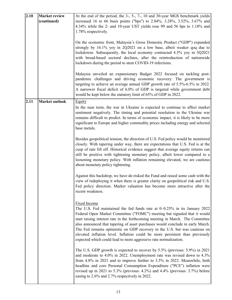| 2.10 | <b>Market review</b>  | At the end of the period, the 3-, 5-, 7-, 10 and 30-year MGS benchmark yields                                                                                                                                                                                                                                                                                                                                                                                                                                                                                                          |
|------|-----------------------|----------------------------------------------------------------------------------------------------------------------------------------------------------------------------------------------------------------------------------------------------------------------------------------------------------------------------------------------------------------------------------------------------------------------------------------------------------------------------------------------------------------------------------------------------------------------------------------|
|      | (continued)           | increased 16 to 66 basis points ("bps") to 2.84%, 3.28%, 3.52%, 3.67% and<br>4.34% while the 2- and 10-year UST yields rose 99 and 56 bps to 1.18% and<br>1.78% respectively.                                                                                                                                                                                                                                                                                                                                                                                                          |
|      |                       | On the economic front, Malaysia's Gross Domestic Product ("GDP") expanded<br>strongly by 16.1% yoy in 2Q2021 on a low base, albeit weaker qoq due to<br>lockdowns. Subsequently, the local economy contracted 4.5% yoy in 3Q2021<br>with broad-based sectoral declines, after the reintroduction of nationwide<br>lockdown during the period to stem COVID-19 infections.                                                                                                                                                                                                              |
|      |                       | Malaysia unveiled an expansionary Budget 2022 focused on tackling post-<br>pandemic challenges and driving economic recovery. The government is<br>targeting to achieve an average annual GDP growth rate of 5.5%-6.5% in 2022.<br>A narrower fiscal deficit of 6.0% of GDP is targeted while government debt<br>would be kept below the statutory limit of 65% of GDP in 2022.                                                                                                                                                                                                        |
| 2.11 | <b>Market outlook</b> | <b>Equity</b><br>In the near term, the war in Ukraine is expected to continue to affect market<br>sentiment negatively. The timing and potential resolution to the Ukraine war<br>remains difficult to predict. In terms of economic impact, it is likely to be more<br>significant to Europe and higher commodity prices including energy and selected<br>base metals.                                                                                                                                                                                                                |
|      |                       | Besides geopolitical tension, the direction of U.S. Fed policy would be monitored<br>closely. With tapering under way, there are expectations that U.S. Fed is at the<br>cusp of rate lift off. Historical evidence suggest that average equity returns can<br>still be positive with tightening monetary policy, albeit lower compared to a<br>loosening monetary policy. With inflation remaining elevated, we are cautious<br>about monetary policy tightening.                                                                                                                     |
|      |                       | Against this backdrop, we have de-risked the Fund and raised some cash with the<br>view of redeploying it when there is greater clarity on geopolitical risk and U.S.<br>Fed policy direction. Market valuation has become more attractive after the<br>recent weakness.                                                                                                                                                                                                                                                                                                               |
|      |                       | <b>Fixed Income</b><br>The U.S. Fed maintained the fed funds rate at $0-0.25\%$ in its January 2022<br>Federal Open Market Committee ("FOMC") meeting but signaled that it would<br>start raising interest rate in the forthcoming meeting in March. The Committee<br>also announced that tapering of asset purchases would conclude in early March.<br>The Fed remains optimistic on GDP recovery in the U.S. but was cautious on<br>elevated inflation level. Inflation could be more persistent than previously<br>expected which could lead to more aggressive rate normalization. |
|      |                       | The U.S. GDP growth is expected to recover by 5.5% (previous: 5.9%) in 2021<br>and moderate to 4.0% in 2022. Unemployment rate was revised down to 4.3%<br>from 4.8% in 2021 and to improve further to 3.5% in 2022. Meanwhile, both<br>headline and core Personal Consumption Expenditure ("PCE") inflation were<br>revised up in 2021 to 5.3% (previous: 4.2%) and 4.4% (previous: 3.7%) before<br>easing to 2.6% and 2.7% respectively in 2022.                                                                                                                                     |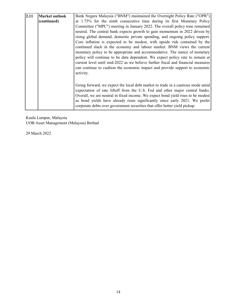| 2.11 | <b>Market outlook</b> | Bank Negara Malaysia ("BNM") maintained the Overnight Policy Rate ("OPR")                                                                                                                                                                     |  |  |  |
|------|-----------------------|-----------------------------------------------------------------------------------------------------------------------------------------------------------------------------------------------------------------------------------------------|--|--|--|
|      | (continued)           | at 1.75% for the ninth consecutive time during its first Monetary Policy                                                                                                                                                                      |  |  |  |
|      |                       | Committee ("MPC") meeting in January 2022. The overall policy tone remained                                                                                                                                                                   |  |  |  |
|      |                       | neutral. The central bank expects growth to gain momentum in 2022 driven by                                                                                                                                                                   |  |  |  |
|      |                       | rising global demand, domestic private spending, and ongoing policy support.                                                                                                                                                                  |  |  |  |
|      |                       | Core inflation is expected to be modest, with upside risk contained by the                                                                                                                                                                    |  |  |  |
|      |                       | continued slack in the economy and labour market. BNM views the current                                                                                                                                                                       |  |  |  |
|      |                       | monetary policy to be appropriate and accommodative. The stance of monetary                                                                                                                                                                   |  |  |  |
|      |                       | policy will continue to be data dependent. We expect policy rate to remain at                                                                                                                                                                 |  |  |  |
|      |                       | current level until mid-2022 as we believe further fiscal and financial measures                                                                                                                                                              |  |  |  |
|      |                       | can continue to cushion the economic impact and provide support to economic                                                                                                                                                                   |  |  |  |
|      |                       | activity.                                                                                                                                                                                                                                     |  |  |  |
|      |                       |                                                                                                                                                                                                                                               |  |  |  |
|      |                       | Going forward, we expect the local debt market to trade in a cautious mode amid<br>expectation of rate liftoff from the U.S. Fed and other major central banks.                                                                               |  |  |  |
|      |                       | Overall, we are neutral in fixed income. We expect bond yield rises to be modest<br>as bond yields have already risen significantly since early 2021. We prefer<br>corporate debts over government securities that offer better yield pickup. |  |  |  |

Kuala Lumpur, Malaysia UOB Asset Management (Malaysia) Berhad

29 March 2022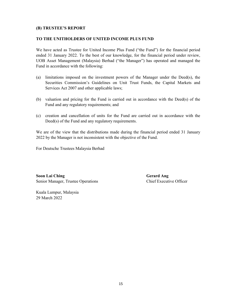## **(B) TRUSTEE'S REPORT**

### **TO THE UNITHOLDERS OF UNITED INCOME PLUS FUND**

We have acted as Trustee for United Income Plus Fund ("the Fund") for the financial period ended 31 January 2022. To the best of our knowledge, for the financial period under review, UOB Asset Management (Malaysia) Berhad ("the Manager") has operated and managed the Fund in accordance with the following:

- (a) limitations imposed on the investment powers of the Manager under the Deed(s), the Securities Commission's Guidelines on Unit Trust Funds, the Capital Markets and Services Act 2007 and other applicable laws;
- (b) valuation and pricing for the Fund is carried out in accordance with the Deed(s) of the Fund and any regulatory requirements; and
- (c) creation and cancellation of units for the Fund are carried out in accordance with the Deed(s) of the Fund and any regulatory requirements.

We are of the view that the distributions made during the financial period ended 31 January 2022 by the Manager is not inconsistent with the objective of the Fund.

For Deutsche Trustees Malaysia Berhad

**Soon Lai Ching Gerard Ang** Senior Manager, Trustee Operations Chief Executive Officer

Kuala Lumpur, Malaysia 29 March 2022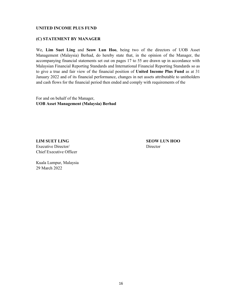## **(C) STATEMENT BY MANAGER**

We, **Lim Suet Ling** and **Seow Lun Hoo**, being two of the directors of UOB Asset Management (Malaysia) Berhad, do hereby state that, in the opinion of the Manager, the accompanying financial statements set out on pages 17 to 55 are drawn up in accordance with Malaysian Financial Reporting Standards and International Financial Reporting Standards so as to give a true and fair view of the financial position of **United Income Plus Fund** as at 31 January 2022 and of its financial performance, changes in net assets attributable to unitholders and cash flows for the financial period then ended and comply with requirements of the

For and on behalf of the Manager, **UOB Asset Management (Malaysia) Berhad**

**LIM SUET LING SEOW LUN HOO** Executive Director/ Director Chief Executive Officer

Kuala Lumpur, Malaysia 29 March 2022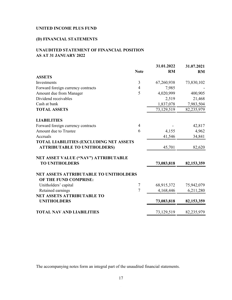## **(D) FINANCIAL STATEMENTS**

# **UNAUDITED STATEMENT OF FINANCIAL POSITION AS AT 31 JANUARY 2022**

|                                               |                | 31.01.2022 | 31.07.2021 |
|-----------------------------------------------|----------------|------------|------------|
|                                               | <b>Note</b>    | <b>RM</b>  | <b>RM</b>  |
| <b>ASSETS</b>                                 |                |            |            |
| Investments                                   | 3              | 67,260,938 | 73,830,102 |
| Forward foreign currency contracts            | 4              | 7,985      |            |
| Amount due from Manager                       | 5              | 4,020,999  | 400,905    |
| Dividend receivables                          |                | 2,519      | 21,468     |
| Cash at bank                                  |                | 1,837,078  | 7,983,504  |
| <b>TOTAL ASSETS</b>                           |                | 73,129,519 | 82,235,979 |
| <b>LIABILITIES</b>                            |                |            |            |
| Forward foreign currency contracts            | $\overline{4}$ |            | 42,817     |
| Amount due to Trustee                         | 6              | 4,155      | 4,962      |
| Accruals                                      |                | 41,546     | 34,841     |
| TOTAL LIABILITIES (EXCLUDING NET ASSETS       |                |            |            |
| <b>ATTRIBUTABLE TO UNITHOLDERS)</b>           |                | 45,701     | 82,620     |
| NET ASSET VALUE ("NAV") ATTRIBUTABLE          |                |            |            |
| <b>TO UNITHOLDERS</b>                         |                | 73,083,818 | 82,153,359 |
| <b>NET ASSETS ATTRIBUTABLE TO UNITHOLDERS</b> |                |            |            |
| OF THE FUND COMPRISE:                         |                |            |            |
| Unitholders' capital                          | 7              | 68,915,372 | 75,942,079 |
| Retained earnings                             | $\overline{7}$ | 4,168,446  | 6,211,280  |
| <b>NET ASSETS ATTRIBUTABLE TO</b>             |                |            |            |
| <b>UNITHOLDERS</b>                            |                | 73,083,818 | 82,153,359 |
| <b>TOTAL NAV AND LIABILITIES</b>              |                | 73,129,519 | 82,235,979 |
|                                               |                |            |            |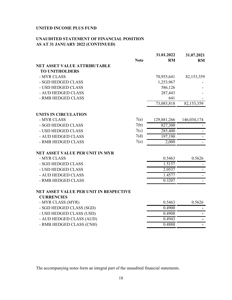## **UNAUDITED STATEMENT OF FINANCIAL POSITION AS AT 31 JANUARY 2022 (CONTINUED)**

|                                        |             | 31.01.2022  | 31.07.2021  |
|----------------------------------------|-------------|-------------|-------------|
|                                        | <b>Note</b> | <b>RM</b>   | RM          |
| <b>NET ASSET VALUE ATTRIBUTABLE</b>    |             |             |             |
| <b>TO UNITHOLDERS</b>                  |             |             |             |
| - MYR CLASS                            |             | 70,955,641  | 82,153,359  |
| - SGD HEDGED CLASS                     |             | 1,253,967   |             |
| - USD HEDGED CLASS                     |             | 586,126     |             |
| - AUD HEDGED CLASS                     |             | 287,443     |             |
| - RMB HEDGED CLASS                     |             | 641         |             |
|                                        |             | 73,083,818  | 82,153,359  |
| UNITS IN CIRCULATION                   |             |             |             |
| - MYR CLASS                            | 7(a)        | 129,881,266 | 146,034,174 |
| - SGD HEDGED CLASS                     | 7(b)        | 827,300     |             |
| - USD HEDGED CLASS                     | 7(c)        | 285,400     |             |
| - AUD HEDGED CLASS                     | 7(d)        | 197,190     |             |
| - RMB HEDGED CLASS                     | 7(e)        | 2,000       |             |
| NET ASSET VALUE PER UNIT IN MYR        |             |             |             |
| - MYR CLASS                            |             | 0.5463      | 0.5626      |
| - SGD HEDGED CLASS                     |             | 1.5157      |             |
| - USD HEDGED CLASS                     |             | 2.0537      |             |
| - AUD HEDGED CLASS                     |             | 1.4577      |             |
| - RMB HEDGED CLASS                     |             | 0.3207      |             |
| NET ASSET VALUE PER UNIT IN RESPECTIVE |             |             |             |
| <b>CURRENCIES</b>                      |             |             |             |
| - MYR CLASS (MYR)                      |             | 0.5463      | 0.5626      |
| - SGD HEDGED CLASS (SGD)               |             | 0.4900      |             |
| - USD HEDGED CLASS (USD)               |             | 0.4908      |             |
| - AUD HEDGED CLASS (AUD)               |             | 0.4943      |             |
| - RMB HEDGED CLASS (CNH)               |             | 0.4888      |             |
|                                        |             |             |             |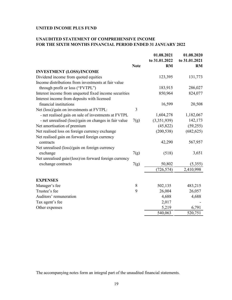## **UNAUDITED STATEMENT OF COMPREHENSIVE INCOME FOR THE SIXTH MONTHS FINANCIAL PERIOD ENDED 31 JANUARY 2022**

|                                                        |             | 01.08.2021    | 01.08.2020    |
|--------------------------------------------------------|-------------|---------------|---------------|
|                                                        |             | to 31.01.2022 | to 31.01.2021 |
|                                                        | <b>Note</b> | <b>RM</b>     | <b>RM</b>     |
| <b>INVESTMENT (LOSS)/INCOME</b>                        |             |               |               |
| Dividend income from quoted equities                   |             | 123,395       | 131,773       |
| Income distributions from investments at fair value    |             |               |               |
| through profit or loss ("FVTPL")                       |             | 183,915       | 286,027       |
| Interest income from unquoted fixed income securities  |             | 850,964       | 824,077       |
| Interest income from deposits with licensed            |             |               |               |
| financial institutions                                 |             | 16,599        | 20,508        |
| Net (loss)/gain on investments at FVTPL:               | 3           |               |               |
| - net realised gain on sale of investments at FVTPL    |             | 1,604,278     | 1,182,067     |
| - net unrealised (loss)/gain on changes in fair value  | 7(g)        | (3,351,939)   | 142,173       |
| Net amortisation of premium                            |             | (45, 822)     | (59,255)      |
| Net realised loss on foreign currency exchange         |             | (200, 538)    | (682, 625)    |
| Net realised gain on forward foreign currency          |             |               |               |
| contracts                                              |             | 42,290        | 567,957       |
| Net unrealised (loss)/gain on foreign currency         |             |               |               |
| exchange                                               | 7(g)        | (518)         | 3,651         |
| Net unrealised gain/(loss)/on forward foreign currency |             |               |               |
| exchange contracts                                     | 7(g)        | 50,802        | (5,355)       |
|                                                        |             | (726, 574)    | 2,410,998     |
|                                                        |             |               |               |
| <b>EXPENSES</b>                                        |             |               |               |
| Manager's fee                                          | 8           | 502,135       | 483,215       |
| Trustee's fee                                          | 9           | 26,004        | 26,057        |
| Auditors' remuneration                                 |             | 4,688         | 4,688         |
| Tax agent's fee                                        |             | 2,017         |               |
| Other expenses                                         |             | 5,219         | 6,791         |
|                                                        |             | 540,063       | 520,751       |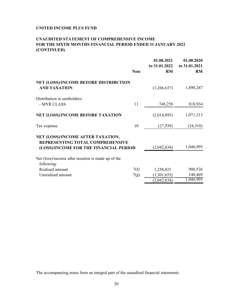## **UNAUDITED STATEMENT OF COMPREHENSIVE INCOME FOR THE SIXTH MONTHS FINANCIAL PERIOD ENDED 31 JANUARY 2022 (CONTINUED)**

|                                                                                                                 | <b>Note</b> | 01.08.2021<br>to 31.01.2022<br><b>RM</b> | 01.08.2020<br>to 31.01.2021<br><b>RM</b> |
|-----------------------------------------------------------------------------------------------------------------|-------------|------------------------------------------|------------------------------------------|
|                                                                                                                 |             |                                          |                                          |
| NET (LOSS)/INCOME BEFORE DISTRIBUTION<br><b>AND TAXATION</b>                                                    |             | (1,266,637)                              | 1,890,247                                |
| Distribution to unitholders:                                                                                    |             |                                          |                                          |
| - MYR CLASS                                                                                                     | 11          | 748,258                                  | 818,934                                  |
| NET (LOSS)/INCOME BEFORE TAXATION                                                                               |             | (2,014,895)                              | 1,071,313                                |
| Tax expense                                                                                                     | 10          | (27, 939)                                | (24,318)                                 |
| NET (LOSS)/INCOME AFTER TAXATION,<br>REPRESENTING TOTAL COMPREHENSIVE<br>(LOSS)/INCOME FOR THE FINANCIAL PERIOD |             | (2,042,834)                              | 1,046,995                                |
| Net (loss)/income after taxation is made up of the<br>following:                                                |             |                                          |                                          |
| Realised amount                                                                                                 | 7(f)        | 1,258,821                                | 906,526                                  |
| Unrealised amount                                                                                               | 7(g)        | (3,301,655)                              | 140,469                                  |
|                                                                                                                 |             | (2,042,834)                              | 1,046,995                                |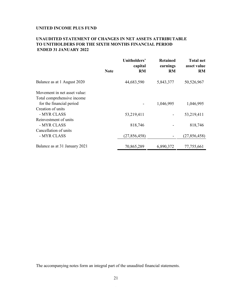## **UNAUDITED STATEMENT OF CHANGES IN NET ASSETS ATTRIBUTABLE TO UNITHOLDERS FOR THE SIXTH MONTHS FINANCIAL PERIOD ENDED 31 JANUARY 2022**

|                               | <b>Note</b> | Unitholders'<br>capital<br><b>RM</b> | <b>Retained</b><br>earnings<br><b>RM</b> | <b>Total net</b><br>asset value<br><b>RM</b> |
|-------------------------------|-------------|--------------------------------------|------------------------------------------|----------------------------------------------|
| Balance as at 1 August 2020   |             | 44,683,590                           | 5,843,377                                | 50,526,967                                   |
| Movement in net asset value:  |             |                                      |                                          |                                              |
| Total comprehensive income    |             |                                      |                                          |                                              |
| for the financial period      |             |                                      | 1,046,995                                | 1,046,995                                    |
| Creation of units             |             |                                      |                                          |                                              |
| - MYR CLASS                   |             | 53,219,411                           |                                          | 53,219,411                                   |
| Reinvestment of units         |             |                                      |                                          |                                              |
| - MYR CLASS                   |             | 818,746                              |                                          | 818,746                                      |
| Cancellation of units         |             |                                      |                                          |                                              |
| - MYR CLASS                   |             | (27, 856, 458)                       |                                          | (27,856,458)                                 |
| Balance as at 31 January 2021 |             | 70,865,289                           | 6,890,372                                | 77,755,661                                   |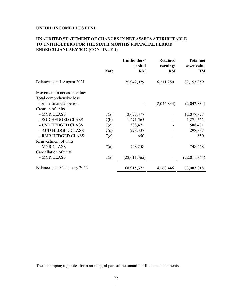## **UNAUDITED STATEMENT OF CHANGES IN NET ASSETS ATTRIBUTABLE TO UNITHOLDERS FOR THE SIXTH MONTHS FINANCIAL PERIOD ENDED 31 JANUARY 2022 (CONTINUED)**

|                               | <b>Note</b> | Unitholders'<br>capital<br><b>RM</b> | <b>Retained</b><br>earnings<br><b>RM</b> | <b>Total net</b><br>asset value<br><b>RM</b> |
|-------------------------------|-------------|--------------------------------------|------------------------------------------|----------------------------------------------|
|                               |             |                                      |                                          |                                              |
| Balance as at 1 August 2021   |             | 75,942,079                           | 6,211,280                                | 82,153,359                                   |
| Movement in net asset value:  |             |                                      |                                          |                                              |
| Total comprehensive loss      |             |                                      |                                          |                                              |
| for the financial period      |             |                                      | (2,042,834)                              | (2,042,834)                                  |
| Creation of units             |             |                                      |                                          |                                              |
| - MYR CLASS                   | 7(a)        | 12,077,377                           |                                          | 12,077,377                                   |
| - SGD HEDGED CLASS            | 7(b)        | 1,271,565                            |                                          | 1,271,565                                    |
| - USD HEDGED CLASS            | 7(c)        | 588,471                              |                                          | 588,471                                      |
| - AUD HEDGED CLASS            | 7(d)        | 298,337                              |                                          | 298,337                                      |
| - RMB HEDGED CLASS            | 7(e)        | 650                                  |                                          | 650                                          |
| Reinvestment of units         |             |                                      |                                          |                                              |
| - MYR CLASS                   | 7(a)        | 748,258                              |                                          | 748,258                                      |
| Cancellation of units         |             |                                      |                                          |                                              |
| - MYR CLASS                   | 7(a)        | (22,011,365)                         |                                          | (22,011,365)                                 |
| Balance as at 31 January 2022 |             | 68,915,372                           | 4,168,446                                | 73,083,818                                   |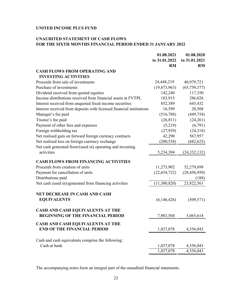## **UNAUDITED STATEMENT OF CASH FLOWS FOR THE SIXTH MONTHS FINANCIAL PERIOD ENDED 31 JANUARY 2022**

|                                                                      | 01.08.2021     | 01.08.2020     |
|----------------------------------------------------------------------|----------------|----------------|
|                                                                      | to 31.01.2022  | to 31.01.2021  |
|                                                                      | <b>RM</b>      | <b>RM</b>      |
| <b>CASH FLOWS FROM OPERATING AND</b>                                 |                |                |
| <b>INVESTING ACTIVITIES</b>                                          |                |                |
| Proceeds from sale of investments                                    | 24,448,219     | 40,979,721     |
| Purchase of investments                                              | (19,673,963)   | (65, 759, 377) |
| Dividend received from quoted equities                               | 142,240        | 117,350        |
| Income distributions received from financial assets at FVTPL         | 183,915        | 286,026        |
| Interest received from unquoted fixed income securities              | 852,389        | 643,432        |
| Interest received from deposits with licensed financial institutions | 16,599         | 20,508         |
| Manager's fee paid                                                   | (516,788)      | (449, 754)     |
| Trustee's fee paid                                                   | (26, 811)      | (24,261)       |
| Payment of other fees and expenses                                   | (5,219)        | (6,791)        |
| Foreign withholding tax                                              | (27, 939)      | (24,318)       |
| Net realised gain on forward foreign currency contracts              | 42,290         | 567,957        |
| Net realised loss on foreign currency exchange                       | (200, 538)     | (682, 625)     |
| Net cash generated from/(used in) operating and investing            |                |                |
| activities                                                           | 5,234,394      | (24, 332, 132) |
|                                                                      |                |                |
| <b>CASH FLOWS FROM FINANCING ACTIVITIES</b>                          |                |                |
| Proceeds from creation of units                                      | 11,273,902     | 52,279,699     |
| Payment for cancellation of units                                    | (22, 654, 722) | (28, 456, 950) |
| Distributions paid                                                   |                | (188)          |
| Net cash (used in)/generated from financing activities               | (11,380,820)   | 23,822,561     |
|                                                                      |                |                |
| NET DECREASE IN CASH AND CASH                                        |                |                |
| <b>EQUIVALENTS</b>                                                   | (6,146,426)    | (509, 571)     |
|                                                                      |                |                |
| CASH AND CASH EQUIVALENTS AT THE                                     |                |                |
| <b>BEGINNING OF THE FINANCIAL PERIOD</b>                             | 7,983,504      | 5,065,614      |
| <b>CASH AND CASH EQUIVALENTS AT THE</b>                              |                |                |
| <b>END OF THE FINANCIAL PERIOD</b>                                   | 1,837,078      | 4,556,043      |
|                                                                      |                |                |
| Cash and cash equivalents comprise the following:                    |                |                |
| Cash at bank                                                         | 1,837,078      | 4,556,043      |
|                                                                      | 1,837,078      | 4,556,043      |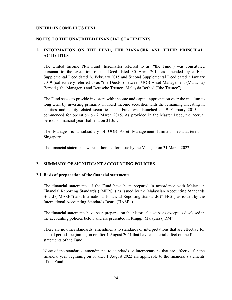#### **NOTES TO THE UNAUDITED FINANCIAL STATEMENTS**

## **1. INFORMATION ON THE FUND, THE MANAGER AND THEIR PRINCIPAL ACTIVITIES**

The United Income Plus Fund (hereinafter referred to as "the Fund") was constituted pursuant to the execution of the Deed dated 30 April 2014 as amended by a First Supplemental Deed dated 26 February 2015 and Second Supplemental Deed dated 2 January 2019 (collectively referred to as "the Deeds") between UOB Asset Management (Malaysia) Berhad ("the Manager") and Deutsche Trustees Malaysia Berhad ("the Trustee").

The Fund seeks to provide investors with income and capital appreciation over the medium to long term by investing primarily in fixed income securities with the remaining investing in equities and equity-related securities. The Fund was launched on 9 February 2015 and commenced for operation on 2 March 2015. As provided in the Master Deed, the accrual period or financial year shall end on 31 July.

The Manager is a subsidiary of UOB Asset Management Limited, headquartered in Singapore.

The financial statements were authorised for issue by the Manager on 31 March 2022.

### **2. SUMMARY OF SIGNIFICANT ACCOUNTING POLICIES**

#### **2.1 Basis of preparation of the financial statements**

The financial statements of the Fund have been prepared in accordance with Malaysian Financial Reporting Standards ("MFRS") as issued by the Malaysian Accounting Standards Board ("MASB") and International Financial Reporting Standards ("IFRS") as issued by the International Accounting Standards Board ("IASB").

The financial statements have been prepared on the historical cost basis except as disclosed in the accounting policies below and are presented in Ringgit Malaysia ("RM").

There are no other standards, amendments to standards or interpretations that are effective for annual periods beginning on or after 1 August 2021 that have a material effect on the financial statements of the Fund.

None of the standards, amendments to standards or interpretations that are effective for the financial year beginning on or after 1 August 2022 are applicable to the financial statements of the Fund.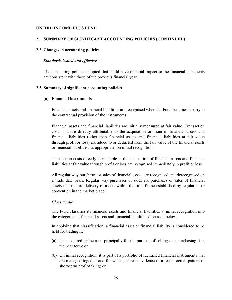#### **2. SUMMARY OF SIGNIFICANT ACCOUNTING POLICIES (CONTINUED)**

### **2.2 Changes in accounting policies**

#### *Standards issued and effective*

The accounting policies adopted that could have material impact to the financial statements are consistent with those of the previous financial year.

### **2.3 Summary of significant accounting policies**

### **(a) Financial instruments**

Financial assets and financial liabilities are recognised when the Fund becomes a party to the contractual provision of the instruments.

Financial assets and financial liabilities are initially measured at fair value. Transaction costs that are directly attributable to the acquisition or issue of financial assets and financial liabilities (other than financial assets and financial liabilities at fair value through profit or loss) are added to or deducted from the fair value of the financial assets or financial liabilities, as appropriate, on initial recognition.

Transaction costs directly attributable to the acquisition of financial assets and financial liabilities at fair value through profit or loss are recognised immediately in profit or loss.

All regular way purchases or sales of financial assets are recognised and derecognised on a trade date basis. Regular way purchases or sales are purchases or sales of financial assets that require delivery of assets within the time frame established by regulation or convention in the market place.

#### *Classification*

The Fund classifies its financial assets and financial liabilities at initial recognition into the categories of financial assets and financial liabilities discussed below.

In applying that classification, a financial asset or financial liability is considered to be held for trading if:

- (a) It is acquired or incurred principally for the purpose of selling or repurchasing it in the near term; or
- (b) On initial recognition, it is part of a portfolio of identified financial instruments that are managed together and for which, there is evidence of a recent actual pattern of short-term profit-taking; or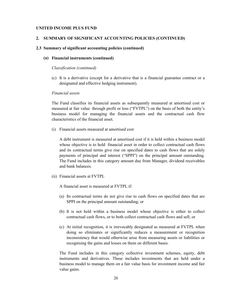## **2. SUMMARY OF SIGNIFICANT ACCOUNTING POLICIES (CONTINUED)**

#### **2.3 Summary of significant accounting policies (continued)**

#### **(a) Financial instruments (continued)**

#### *Classification (continued)*

(c) It is a derivative (except for a derivative that is a financial guarantee contract or a designated and effective hedging instrument).

#### *Financial assets*

The Fund classifies its financial assets as subsequently measured at amortised cost or measured at fair value through profit or loss ("FVTPL") on the basis of both the entity's business model for managing the financial assets and the contractual cash flow characteristics of the financial asset.

(i) Financial assets measured at amortised cost

A debt instrument is measured at amortised cost if it is held within a business model whose objective is to hold financial asset in order to collect contractual cash flows and its contractual terms give rise on specified dates to cash flows that are solely payments of principal and interest ("SPPI") on the principal amount outstanding. The Fund includes in this category amount due from Manager, dividend receivables and bank balances.

(ii) Financial assets at FVTPL

A financial asset is measured at FVTPL if:

- (a) Its contractual terms do not give rise to cash flows on specified dates that are SPPI on the principal amount outstanding; or
- (b) It is not held within a business model whose objective is either to collect contractual cash flows, or to both collect contractual cash flows and sell; or
- (c) At initial recognition, it is irrevocably designated as measured at FVTPL when doing so eliminates or significantly reduces a measurement or recognition inconsistency that would otherwise arise from measuring assets or liabilities or recognising the gains and losses on them on different bases.

The Fund includes in this category collective investment schemes, equity, debt instruments and derivatives. These includes investments that are held under a business model to manage them on a fair value basis for investment income and fair value gains.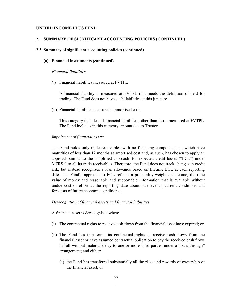#### **2. SUMMARY OF SIGNIFICANT ACCOUNTING POLICIES (CONTINUED)**

#### **2.3 Summary of significant accounting policies (continued)**

#### **(a) Financial instruments (continued)**

#### *Financial liabilities*

(i) Financial liabilities measured at FVTPL

A financial liability is measured at FVTPL if it meets the definition of held for trading. The Fund does not have such liabilities at this juncture.

(ii) Financial liabilities measured at amortised cost

This category includes all financial liabilities, other than those measured at FVTPL. The Fund includes in this category amount due to Trustee.

#### *Impairment of financial assets*

The Fund holds only trade receivables with no financing component and which have maturities of less than 12 months at amortised cost and, as such, has chosen to apply an approach similar to the simplified approach for expected credit losses ("ECL") under MFRS 9 to all its trade receivables. Therefore, the Fund does not track changes in credit risk, but instead recognises a loss allowance based on lifetime ECL at each reporting date. The Fund's approach to ECL reflects a probability-weighted outcome, the time value of money and reasonable and supportable information that is available without undue cost or effort at the reporting date about past events, current conditions and forecasts of future economic conditions.

#### *Derecognition of financial assets and financial liabilities*

A financial asset is derecognised when:

- (i) The contractual rights to receive cash flows from the financial asset have expired; or
- (ii) The Fund has transferred its contractual rights to receive cash flows from the financial asset or have assumed contractual obligation to pay the received cash flows in full without material delay to one or more third parties under a "pass through" arrangement; and either:
	- (a) the Fund has transferred substantially all the risks and rewards of ownership of the financial asset; or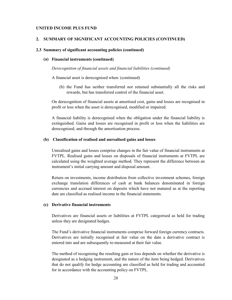#### **2. SUMMARY OF SIGNIFICANT ACCOUNTING POLICIES (CONTINUED)**

### **2.3 Summary of significant accounting policies (continued)**

#### **(a) Financial instruments (continued)**

*Derecognition of financial assets and financial liabilities (continued)*

A financial asset is derecognised when: (continued)

(b) the Fund has neither transferred nor retained substantially all the risks and rewards, but has transferred control of the financial asset.

On derecognition of financial assets at amortised cost, gains and losses are recognised in profit or loss when the asset is derecognised, modified or impaired.

A financial liability is derecognised when the obligation under the financial liability is extinguished. Gains and losses are recognised in profit or loss when the liabilities are derecognised, and through the amortisation process.

### **(b) Classification of realised and unrealised gains and losses**

Unrealised gains and losses comprise changes in the fair value of financial instruments at FVTPL. Realised gains and losses on disposals of financial instruments at FVTPL are calculated using the weighted average method. They represent the difference between an instrument's initial carrying amount and disposal amount.

Return on investments, income distribution from collective investment schemes, foreign exchange translation differences of cash at bank balances denominated in foreign currencies and accrued interest on deposits which have not matured as at the reporting date are classified as realised income in the financial statements.

## **(c) Derivative financial instruments**

Derivatives are financial assets or liabilities at FVTPL categorised as held for trading unless they are designated hedges.

The Fund's derivative financial instruments comprise forward foreign currency contracts. Derivatives are initially recognised at fair value on the date a derivative contract is entered into and are subsequently re-measured at their fair value.

The method of recognising the resulting gain or loss depends on whether the derivative is designated as a hedging instrument, and the nature of the item being hedged. Derivatives that do not qualify for hedge accounting are classified as held for trading and accounted for in accordance with the accounting policy on FVTPL.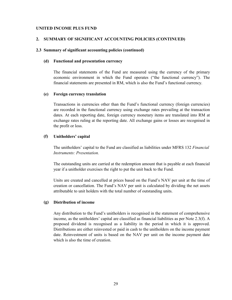## **2. SUMMARY OF SIGNIFICANT ACCOUNTING POLICIES (CONTINUED)**

## **2.3 Summary of significant accounting policies (continued)**

### **(d) Functional and presentation currency**

The financial statements of the Fund are measured using the currency of the primary economic environment in which the Fund operates ("the functional currency"). The financial statements are presented in RM, which is also the Fund's functional currency.

### **(e) Foreign currency translation**

Transactions in currencies other than the Fund's functional currency (foreign currencies) are recorded in the functional currency using exchange rates prevailing at the transaction dates. At each reporting date, foreign currency monetary items are translated into RM at exchange rates ruling at the reporting date. All exchange gains or losses are recognised in the profit or loss.

### **(f) Unitholders' capital**

The unitholders' capital to the Fund are classified as liabilities under MFRS 132 *Financial Instruments: Presentation.*

The outstanding units are carried at the redemption amount that is payable at each financial year if a unitholder exercises the right to put the unit back to the Fund.

Units are created and cancelled at prices based on the Fund's NAV per unit at the time of creation or cancellation. The Fund's NAV per unit is calculated by dividing the net assets attributable to unit holders with the total number of outstanding units.

## **(g) Distribution of income**

Any distribution to the Fund's unitholders is recognised in the statement of comprehensive income, as the unitholders' capital are classified as financial liabilities as per Note 2.3(f). A proposed dividend is recognised as a liability in the period in which it is approved. Distributions are either reinvested or paid in cash to the unitholders on the income payment date. Reinvestment of units is based on the NAV per unit on the income payment date which is also the time of creation.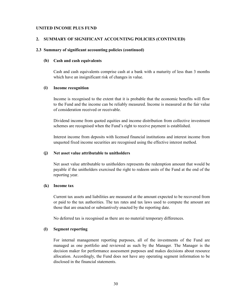### **2. SUMMARY OF SIGNIFICANT ACCOUNTING POLICIES (CONTINUED)**

#### **2.3 Summary of significant accounting policies (continued)**

#### **(h) Cash and cash equivalents**

Cash and cash equivalents comprise cash at a bank with a maturity of less than 3 months which have an insignificant risk of changes in value.

#### **(i) Income recognition**

Income is recognised to the extent that it is probable that the economic benefits will flow to the Fund and the income can be reliably measured. Income is measured at the fair value of consideration received or receivable.

Dividend income from quoted equities and income distribution from collective investment schemes are recognised when the Fund's right to receive payment is established.

Interest income from deposits with licensed financial institutions and interest income from unquoted fixed income securities are recognised using the effective interest method.

### **(j) Net asset value attributable to unitholders**

Net asset value attributable to unitholders represents the redemption amount that would be payable if the unitholders exercised the right to redeem units of the Fund at the end of the reporting year.

#### **(k) Income tax**

Current tax assets and liabilities are measured at the amount expected to be recovered from or paid to the tax authorities. The tax rates and tax laws used to compute the amount are those that are enacted or substantively enacted by the reporting date.

No deferred tax is recognised as there are no material temporary differences.

## **(l) Segment reporting**

For internal management reporting purposes, all of the investments of the Fund are managed as one portfolio and reviewed as such by the Manager. The Manager is the decision maker for performance assessment purposes and makes decisions about resource allocation. Accordingly, the Fund does not have any operating segment information to be disclosed in the financial statements.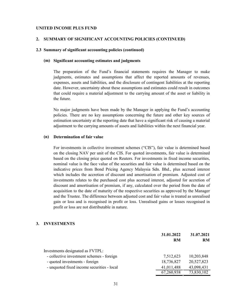#### **2. SUMMARY OF SIGNIFICANT ACCOUNTING POLICIES (CONTINUED)**

### **2.3 Summary of significant accounting policies (continued)**

### **(m) Significant accounting estimates and judgments**

The preparation of the Fund's financial statements requires the Manager to make judgments, estimates and assumptions that affect the reported amounts of revenues, expenses, assets and liabilities, and the disclosure of contingent liabilities at the reporting date. However, uncertainty about these assumptions and estimates could result in outcomes that could require a material adjustment to the carrying amount of the asset or liability in the future.

No major judgments have been made by the Manager in applying the Fund's accounting policies. There are no key assumptions concerning the future and other key sources of estimation uncertainty at the reporting date that have a significant risk of causing a material adjustment to the carrying amounts of assets and liabilities within the next financial year.

#### **(n) Determination of fair value**

For investments in collective investment schemes ("CIS"), fair value is determined based on the closing NAV per unit of the CIS. For quoted investments, fair value is determined based on the closing price quoted on Reuters. For investments in fixed income securities, nominal value is the face value of the securities and fair value is determined based on the indicative prices from Bond Pricing Agency Malaysia Sdn. Bhd., plus accrued interest which includes the accretion of discount and amortisation of premium. Adjusted cost of investments relates to the purchased cost plus accrued interest, adjusted for accretion of discount and amortisation of premium, if any, calculated over the period from the date of acquisition to the date of maturity of the respective securities as approved by the Manager and the Trustee. The difference between adjusted cost and fair value is treated as unrealised gain or loss and is recognised in profit or loss. Unrealised gains or losses recognised in profit or loss are not distributable in nature.

## **3. INVESTMENTS**

|                                            | 31.01.2022<br><b>RM</b> | 31.07.2021<br><b>RM</b> |
|--------------------------------------------|-------------------------|-------------------------|
| Investments designated as FVTPL:           |                         |                         |
| - collective investment schemes - foreign  | 7,512,623               | 10,203,848              |
| - quoted investments - foreign             | 18,736,827              | 20,527,823              |
| - unquoted fixed income securities - local | 41,011,488              | 43,098,431              |
|                                            | 67,260,938              | 73,830,102              |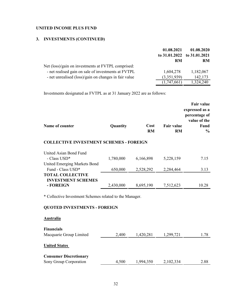## **3. INVESTMENTS (CONTINUED)**

|                                                       | 01.08.2021  | 01.08.2020<br>to 31.01.2022 to 31.01.2021 |
|-------------------------------------------------------|-------------|-------------------------------------------|
|                                                       | RM          | <b>RM</b>                                 |
| Net (loss)/gain on investments at FVTPL comprised:    |             |                                           |
| - net realised gain on sale of investments at FVTPL   | 1,604,278   | 1,182,067                                 |
| - net unrealised (loss)/gain on changes in fair value | (3,351,939) | 142,173                                   |
|                                                       | (1,747,661) | 1,324,240                                 |

Investments designated as FVTPL as at 31 January 2022 are as follows:

|                 |          |      |                   | Fair value     |
|-----------------|----------|------|-------------------|----------------|
|                 |          |      |                   | expressed as a |
|                 |          |      |                   | percentage of  |
|                 |          |      |                   | value of the   |
| Name of counter | Quantity | Cost | <b>Fair value</b> | Fund           |
|                 |          | RM   | RM                | $\frac{0}{0}$  |

## **COLLECTIVE INVESTMENT SCHEMES - FOREIGN**

| United Asian Bond Fund        |           |           |           |       |
|-------------------------------|-----------|-----------|-----------|-------|
| - Class USD*                  | 1,780,000 | 6,166,898 | 5,228,159 | 7.15  |
| United Emerging Markets Bond  |           |           |           |       |
| Fund - Class USD <sup>*</sup> | 650,000   | 2,528,292 | 2,284,464 | 3.13  |
| <b>TOTAL COLLECTIVE</b>       |           |           |           |       |
| <b>INVESTMENT SCHEMES</b>     |           |           |           |       |
| - FOREIGN                     | 2,430,000 | 8,695,190 | 7,512,623 | 10.28 |

\* Collective Investment Schemes related to the Manager.

# **QUOTED INVESTMENTS - FOREIGN**

## **Australia**

| <b>Financials</b><br>Macquarie Group Limited            | 2,400 | 1,420,281 | 1,299,721 | 1.78 |
|---------------------------------------------------------|-------|-----------|-----------|------|
| <b>United States</b>                                    |       |           |           |      |
| <b>Consumer Discretionary</b><br>Sony Group Corporation | 4,500 | 1,994,350 | 2,102,334 | 2.88 |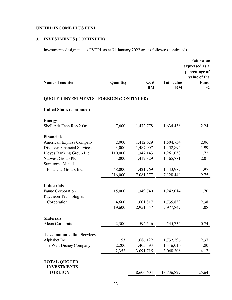# **3. INVESTMENTS (CONTINUED)**

Investments designated as FVTPL as at 31 January 2022 are as follows: (continued)

|                                                 |          |                   |                                | <b>Fair value</b><br>expressed as a<br>percentage of<br>value of the |
|-------------------------------------------------|----------|-------------------|--------------------------------|----------------------------------------------------------------------|
| Name of counter                                 | Quantity | Cost<br><b>RM</b> | <b>Fair value</b><br><b>RM</b> | Fund<br>$\frac{1}{2}$                                                |
| <b>QUOTED INVESTMENTS - FOREIGN (CONTINUED)</b> |          |                   |                                |                                                                      |
| <b>United States (continued)</b>                |          |                   |                                |                                                                      |
| <b>Energy</b>                                   |          |                   |                                |                                                                      |
| Shell Adr Each Rep 2 Ord                        | 7,600    | 1,472,778         | 1,634,438                      | 2.24                                                                 |
| <b>Financials</b>                               |          |                   |                                |                                                                      |
| American Express Company                        | 2,000    | 1,412,629         | 1,504,734                      | 2.06                                                                 |
| <b>Discover Financial Services</b>              | 3,000    | 1,487,007         | 1,452,894                      | 1.99                                                                 |
| Lloyds Banking Group Plc                        | 110,000  | 1,347,143         | 1,261,058                      | 1.72                                                                 |
| Natwest Group Plc                               | 53,000   | 1,412,829         | 1,465,781                      | 2.01                                                                 |
| Sumitomo Mitsui                                 |          |                   |                                |                                                                      |
| Financial Group, Inc.                           | 48,000   | 1,421,769         | 1,443,982                      | 1.97                                                                 |
|                                                 | 216,000  | 7,081,377         | 7,128,449                      | 9.75                                                                 |
|                                                 |          |                   |                                |                                                                      |
| <b>Industrials</b>                              |          |                   |                                |                                                                      |
| Fanuc Corporation                               | 15,000   | 1,349,740         | 1,242,014                      | 1.70                                                                 |
| Raytheon Technologies                           |          |                   |                                |                                                                      |
| Corporation                                     | 4,600    | 1,601,817         | 1,735,833                      | 2.38                                                                 |
|                                                 | 19,600   | 2,951,557         | 2,977,847                      | 4.08                                                                 |
| <b>Materials</b>                                |          |                   |                                |                                                                      |
| Alcoa Corporation                               | 2,300    | 594,546           | 545,732                        | 0.74                                                                 |
|                                                 |          |                   |                                |                                                                      |
| <b>Telecommunication Services</b>               |          |                   |                                |                                                                      |
| Alphabet Inc.                                   | 153      | 1,686,122         | 1,732,296                      | 2.37                                                                 |
| The Walt Disney Company                         | 2,200    | 1,405,593         | 1,316,010                      | 1.80                                                                 |
|                                                 | 2,353    | 3,091,715         | 3,048,306                      | 4.17                                                                 |
| <b>TOTAL QUOTED</b>                             |          |                   |                                |                                                                      |
| <b>INVESTMENTS</b><br>- FOREIGN                 |          | 18,606,604        | 18,736,827                     | 25.64                                                                |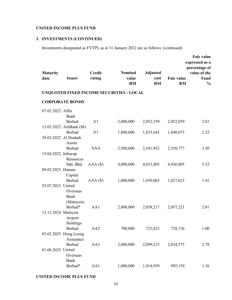# **3. INVESTMENTS (CONTINUED)**

Investments designated as FVTPL as at 31 January 2022 are as follows: (continued)

| <b>Maturity</b><br>date | <b>Issuer</b>          | <b>Credit</b><br>rating | <b>Nominal</b><br>value<br><b>RM</b>     | <b>Adjusted</b><br>cost<br><b>RM</b> | <b>Fair value</b><br><b>RM</b> | <b>Fair value</b><br>expressed as a<br>percentage of<br>value of the<br>Fund<br>$\frac{0}{0}$ |
|-------------------------|------------------------|-------------------------|------------------------------------------|--------------------------------------|--------------------------------|-----------------------------------------------------------------------------------------------|
|                         |                        |                         | UNQUOTED FIXED INCOME SECURITIES - LOCAL |                                      |                                |                                                                                               |
|                         | <b>CORPORATE BONDS</b> |                         |                                          |                                      |                                |                                                                                               |
|                         |                        |                         |                                          |                                      |                                |                                                                                               |
| 07.02.2022 Affin        |                        |                         |                                          |                                      |                                |                                                                                               |
|                         | Bank<br>Berhad         | A1                      |                                          |                                      |                                | 2.81                                                                                          |
|                         | 15.03.2022 AmBank (M)  |                         | 2,000,000                                | 2,052,559                            | 2,052,859                      |                                                                                               |
|                         | <b>Berhad</b>          | A1                      | 1,800,000                                | 1,835,645                            | 1,840,073                      | 2.52                                                                                          |
|                         | 29.03.2022 Al Dzahab   |                         |                                          |                                      |                                |                                                                                               |
|                         | Assets                 |                         |                                          |                                      |                                |                                                                                               |
|                         | Berhad                 | <b>AAA</b>              | 2,500,000                                | 2,541,952                            | 2,550,777                      | 3.50                                                                                          |
| 15.04.2022 Infracap     |                        |                         |                                          |                                      |                                |                                                                                               |
|                         | Resources              |                         |                                          |                                      |                                |                                                                                               |
|                         | Sdn. Bhd.              | AAA(S)                  | 4,000,000                                | 4,033,805                            | 4,036,805                      | 5.52                                                                                          |
| 09.05.2023 Danum        |                        |                         |                                          |                                      |                                |                                                                                               |
|                         | Capital                |                         |                                          |                                      |                                |                                                                                               |
|                         | Berhad                 | AAA(S)                  | 1,000,000                                | 1,030,065                            | 1,027,823                      | 1.41                                                                                          |
| 25.07.2023 United       |                        |                         |                                          |                                      |                                |                                                                                               |
|                         | Overseas<br>Bank       |                         |                                          |                                      |                                |                                                                                               |
|                         | (Malaysia)             |                         |                                          |                                      |                                |                                                                                               |
|                         | Berhad*                | AA1                     | 2,000,000                                | 2,058,217                            | 2,057,221                      | 2.81                                                                                          |
| 13.12.2024 Malaysia     |                        |                         |                                          |                                      |                                |                                                                                               |
|                         | Airport                |                         |                                          |                                      |                                |                                                                                               |
|                         | Holdings               |                         |                                          |                                      |                                |                                                                                               |
|                         | Berhad                 | AA <sub>2</sub>         | 700,000                                  | 723,823                              | 728,736                        | 1.00                                                                                          |
|                         | 03.02.2025 Hong Leong  |                         |                                          |                                      |                                |                                                                                               |
|                         | Assurance              |                         |                                          |                                      |                                |                                                                                               |
|                         | Berhad                 | AA3                     | 2,000,000                                | 2,099,215                            | 2,034,575                      | 2.78                                                                                          |
| 01.08.2025 United       |                        |                         |                                          |                                      |                                |                                                                                               |
|                         | Overseas               |                         |                                          |                                      |                                |                                                                                               |
|                         | <b>Bank</b>            |                         |                                          |                                      |                                |                                                                                               |
|                         | Berhad*                | AA1                     | 1,000,000                                | 1,014,959                            | 995,159                        | 1.36                                                                                          |

## **UNITED INCOME PLUS FUND**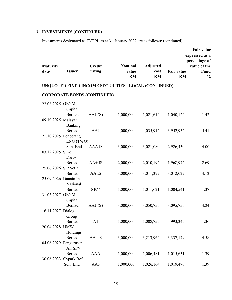# **3. INVESTMENTS (CONTINUED)**

Investments designated as FVTPL as at 31 January 2022 are as follows: (continued)

| <b>Maturity</b><br>date | <b>Issuer</b>         | <b>Credit</b><br>rating            | Nominal<br>value<br><b>RM</b>                        | <b>Adjusted</b><br>cost<br><b>RM</b> | <b>Fair value</b><br><b>RM</b> | <b>Fair value</b><br>expressed as a<br>percentage of<br>value of the<br>Fund<br>$\frac{0}{0}$ |
|-------------------------|-----------------------|------------------------------------|------------------------------------------------------|--------------------------------------|--------------------------------|-----------------------------------------------------------------------------------------------|
|                         |                       |                                    | UNQUOTED FIXED INCOME SECURITIES - LOCAL (CONTINUED) |                                      |                                |                                                                                               |
|                         |                       | <b>CORPORATE BONDS (CONTINUED)</b> |                                                      |                                      |                                |                                                                                               |
| 22.08.2025 GENM         |                       |                                    |                                                      |                                      |                                |                                                                                               |
|                         | Capital               |                                    |                                                      |                                      |                                |                                                                                               |
|                         | Berhad                | AA1(S)                             | 1,000,000                                            | 1,021,614                            | 1,040,124                      | 1.42                                                                                          |
| 09.10.2025 Malayan      |                       |                                    |                                                      |                                      |                                |                                                                                               |
|                         | Banking               |                                    |                                                      |                                      |                                |                                                                                               |
|                         | Berhad                | AA1                                | 4,000,000                                            | 4,035,912                            | 3,952,952                      | 5.41                                                                                          |
|                         | 21.10.2025 Pengerang  |                                    |                                                      |                                      |                                |                                                                                               |
|                         | LNG (TWO)             |                                    |                                                      |                                      |                                |                                                                                               |
|                         | Sdn. Bhd.             | AAA IS                             | 3,000,000                                            | 3,021,080                            | 2,926,430                      | 4.00                                                                                          |
| 03.12.2025 Sime         |                       |                                    |                                                      |                                      |                                |                                                                                               |
|                         | Darby                 |                                    |                                                      |                                      |                                |                                                                                               |
|                         | Berhad                | $AA+IS$                            | 2,000,000                                            | 2,010,192                            | 1,968,972                      | 2.69                                                                                          |
| 25.06.2026 S P Setia    |                       |                                    |                                                      |                                      |                                |                                                                                               |
|                         | Berhad                | AA IS                              | 3,000,000                                            | 3,011,392                            | 3,012,022                      | 4.12                                                                                          |
| 25.09.2026 Danainfra    |                       |                                    |                                                      |                                      |                                |                                                                                               |
|                         | Nasional              |                                    |                                                      |                                      |                                |                                                                                               |
|                         | Berhad                | $NR**$                             | 1,000,000                                            | 1,011,621                            | 1,004,541                      | 1.37                                                                                          |
| 31.03.2027 GENM         |                       |                                    |                                                      |                                      |                                |                                                                                               |
|                         | Capital               |                                    |                                                      |                                      |                                |                                                                                               |
|                         | Berhad                | AA1(S)                             | 3,000,000                                            | 3,050,755                            | 3,095,755                      | 4.24                                                                                          |
| 16.11.2027 Dialog       |                       |                                    |                                                      |                                      |                                |                                                                                               |
|                         | Group                 |                                    |                                                      |                                      |                                |                                                                                               |
| 20.04.2028 UMW          | Berhad                | A <sub>1</sub>                     | 1,000,000                                            | 1,008,755                            | 993,345                        | 1.36                                                                                          |
|                         |                       |                                    |                                                      |                                      |                                |                                                                                               |
|                         | Holdings<br>Berhad    | AA-IS                              |                                                      |                                      |                                |                                                                                               |
|                         | 04.06.2029 Pengurusan |                                    | 3,000,000                                            | 3,213,964                            | 3,337,179                      | 4.58                                                                                          |
|                         | Air SPV               |                                    |                                                      |                                      |                                |                                                                                               |
|                         | Berhad                | <b>AAA</b>                         | 1,000,000                                            | 1,006,481                            | 1,015,631                      | 1.39                                                                                          |
|                         | 30.06.2033 Cypark Ref |                                    |                                                      |                                      |                                |                                                                                               |
|                         | Sdn. Bhd.             | AA3                                | 1,000,000                                            | 1,026,164                            | 1,019,476                      | 1.39                                                                                          |
|                         |                       |                                    |                                                      |                                      |                                |                                                                                               |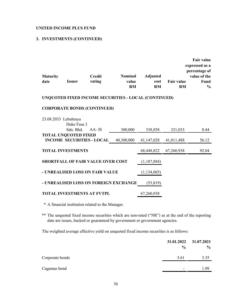## **3. INVESTMENTS (CONTINUED)**

| <b>Maturity</b><br>date | <b>Issuer</b>                            | <b>Credit</b><br>rating                   | <b>Nominal</b><br>value<br><b>RM</b>                 | <b>Adjusted</b><br>cost<br><b>RM</b> | <b>Fair value</b><br>RM | <b>Fair value</b><br>expressed as a<br>percentage of<br>value of the<br>Fund<br>$\frac{0}{0}$ |
|-------------------------|------------------------------------------|-------------------------------------------|------------------------------------------------------|--------------------------------------|-------------------------|-----------------------------------------------------------------------------------------------|
|                         |                                          |                                           | UNQUOTED FIXED INCOME SECURITIES - LOCAL (CONTINUED) |                                      |                         |                                                                                               |
|                         |                                          | <b>CORPORATE BONDS (CONTINUED)</b>        |                                                      |                                      |                         |                                                                                               |
|                         | 23.08.2033 Lebuhraya<br>Duke Fasa 3      |                                           |                                                      |                                      |                         |                                                                                               |
|                         | Sdn. Bhd.<br><b>TOTAL UNQUOTED FIXED</b> | AA-IS<br><b>INCOME SECURITIES - LOCAL</b> | 300,000<br>40,300,000                                | 338,858<br>41,147,028                | 321,033<br>41,011,488   | 0.44<br>56.12                                                                                 |
|                         | <b>TOTAL INVESTMENTS</b>                 |                                           |                                                      | 68,448,822                           | 67,260,938              | 92.04                                                                                         |
|                         |                                          | <b>SHORTFALL OF FAIR VALUE OVER COST</b>  |                                                      | (1,187,884)                          |                         |                                                                                               |
|                         |                                          | - UNREALISED LOSS ON FAIR VALUE           |                                                      | (1,134,065)                          |                         |                                                                                               |
|                         |                                          |                                           | - UNREALISED LOSS ON FOREIGN EXCHANGE                | (53, 819)                            |                         |                                                                                               |
|                         |                                          | <b>TOTAL INVESTMENTS AT FVTPL</b>         |                                                      | 67,260,938                           |                         |                                                                                               |

\* A financial institution related to the Manager.

\*\* The unquoted fixed income securities which are non-rated ("NR") as at the end of the reporting date are issues, backed or guaranteed by government or government agencies.

The weighted average effective yield on unquoted fixed income securities is as follows:

|                 | $\frac{0}{0}$            | 31.01.2022 31.07.2021<br>$\%$ |
|-----------------|--------------------------|-------------------------------|
| Corporate bonds | 3.61                     | 3.35                          |
| Cagamas bond    | $\overline{\phantom{a}}$ | 1.99                          |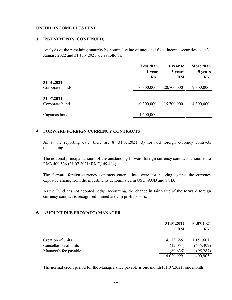## **3. INVESTMENTS (CONTINUED)**

Analysis of the remaining maturity by nominal value of unquoted fixed income securities as at 31 January 2022 and 31 July 2021 are as follows:

|                               | Less than<br>1 year<br><b>RM</b> | 1 year to<br>5 years<br><b>RM</b> | More than<br>5 years<br><b>RM</b> |
|-------------------------------|----------------------------------|-----------------------------------|-----------------------------------|
| 31.01.2022<br>Corporate bonds | 10,300,000                       | 20,700,000                        | 9,300,000                         |
| 31.07.2021<br>Corporate bonds | 10,300,000                       | 15,700,000                        | 14,300,000                        |
| Cagamas bond                  | 1,500,000                        |                                   |                                   |

## **4. FORWARD FOREIGN CURRENCY CONTRACTS**

As at the reporting date, there are 8 (31.07.2021: 3) forward foreign currency contracts outstanding.

The notional principal amount of the outstanding forward foreign currency contracts amounted to RM3,400,536 (31.07.2021: RM7,149,494).

The forward foreign currency contracts entered into were for hedging against the currency exposure arising from the investments denominated in USD, AUD and SGD.

As the Fund has not adopted hedge accounting, the change in fair value of the forward foreign currency contract is recognised immediately in profit or loss.

## **5. AMOUNT DUE FROM/(TO) MANAGER**

|                       | 31.01.2022 | 31.07.2021<br><b>RM</b> |
|-----------------------|------------|-------------------------|
|                       | <b>RM</b>  |                         |
| Creation of units     | 4,113,685  | 1,151,601               |
| Cancellation of units | (12,051)   | (655, 409)              |
| Manager's fee payable | (80, 635)  | (95, 287)               |
|                       | 4,020,999  | 400,905                 |

The normal credit period for the Manager's fee payable is one month (31.07.2021: one month).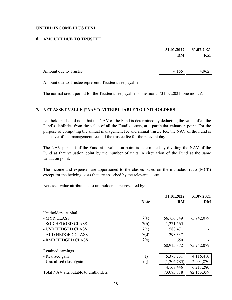## **6. AMOUNT DUE TO TRUSTEE**

|                              | 31.01.2022<br><b>RM</b> | 31.07.2021<br><b>RM</b> |
|------------------------------|-------------------------|-------------------------|
| <b>Amount due to Trustee</b> | 4,155                   | 4,962                   |

Amount due to Trustee represents Trustee's fee payable.

The normal credit period for the Trustee's fee payable is one month (31.07.2021: one month).

## **7. NET ASSET VALUE ("NAV") ATTRIBUTABLE TO UNITHOLDERS**

Unitholders should note that the NAV of the Fund is determined by deducting the value of all the Fund's liabilities from the value of all the Fund's assets, at a particular valuation point. For the purpose of computing the annual management fee and annual trustee fee, the NAV of the Fund is inclusive of the management fee and the trustee fee for the relevant day.

The NAV per unit of the Fund at a valuation point is determined by dividing the NAV of the Fund at that valuation point by the number of units in circulation of the Fund at the same valuation point.

The income and expenses are apportioned to the classes based on the multiclass ratio (MCR) except for the hedging costs that are absorbed by the relevant classes.

Net asset value attributable to unitholders is represented by:

|                                       | <b>Note</b> | 31.01.2022<br><b>RM</b> | 31.07.2021<br><b>RM</b> |
|---------------------------------------|-------------|-------------------------|-------------------------|
| Unitholders' capital                  |             |                         |                         |
| - MYR CLASS                           | 7(a)        | 66,756,349              | 75,942,079              |
| - SGD HEDGED CLASS                    | 7(b)        | 1,271,565               |                         |
| - USD HEDGED CLASS                    | 7(c)        | 588,471                 |                         |
| - AUD HEDGED CLASS                    | 7(d)        | 298,337                 |                         |
| - RMB HEDGED CLASS                    | 7(e)        | 650                     |                         |
|                                       |             | 68,915,372              | 75,942,079              |
| Retained earnings                     |             |                         |                         |
| - Realised gain                       | (f)         | 5,375,231               | 4,116,410               |
| - Unrealised (loss)/gain              | (g)         | (1,206,785)             | 2,094,870               |
|                                       |             | 4,168,446               | 6,211,280               |
| Total NAV attributable to unitholders |             | 73,083,818              | 82,153,359              |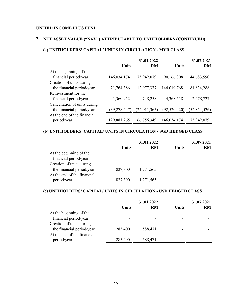## **7. NET ASSET VALUE ("NAV") ATTRIBUTABLE TO UNITHOLDERS (CONTINUED)**

## **(a) UNITHOLDERS' CAPITAL/ UNITS IN CIRCULATION - MYR CLASS**

|                              |                | 31.01.2022   |              | 31.07.2021     |
|------------------------------|----------------|--------------|--------------|----------------|
|                              | Units          | RM           | <b>Units</b> | <b>RM</b>      |
| At the beginning of the      |                |              |              |                |
| financial period/year        | 146,034,174    | 75,942,079   | 90,166,308   | 44,683,590     |
| Creation of units during     |                |              |              |                |
| the financial period/year    | 21,764,386     | 12,077,377   | 144,019,768  | 81,634,288     |
| Reinvestment for the         |                |              |              |                |
| financial period/year        | 1,360,952      | 748,258      | 4,368,518    | 2,478,727      |
| Cancellation of units during |                |              |              |                |
| the financial period/year    | (39, 278, 247) | (22,011,365) | (92,520,420) | (52, 854, 526) |
| At the end of the financial  |                |              |              |                |
| period/year                  | 129,881,265    | 66,756,349   | 146,034,174  | 75,942,079     |

## **(b) UNITHOLDERS' CAPITAL/ UNITS IN CIRCULATION - SGD HEDGED CLASS**

|                             |              | 31.01.2022 |              | 31.07.2021 |
|-----------------------------|--------------|------------|--------------|------------|
|                             | <b>Units</b> | <b>RM</b>  | <b>Units</b> | <b>RM</b>  |
| At the beginning of the     |              |            |              |            |
| financial period/year       |              |            |              |            |
| Creation of units during    |              |            |              |            |
| the financial period/year   | 827,300      | 1,271,565  |              |            |
| At the end of the financial |              |            |              |            |
| period/year                 | 827,300      | 1,271,565  |              |            |

## **(c) UNITHOLDERS' CAPITAL/ UNITS IN CIRCULATION - USD HEDGED CLASS**

| 31.01.2022 |         |              | 31.07.2021 |  |
|------------|---------|--------------|------------|--|
| Units      | RM      | <b>Units</b> | <b>RM</b>  |  |
|            |         |              |            |  |
|            |         |              |            |  |
|            |         |              |            |  |
| 285,400    | 588,471 |              |            |  |
|            |         |              |            |  |
| 285,400    | 588,471 |              |            |  |
|            |         |              |            |  |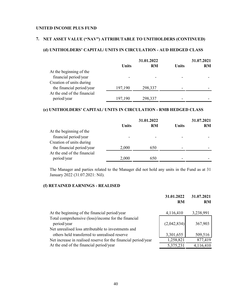## **7. NET ASSET VALUE ("NAV") ATTRIBUTABLE TO UNITHOLDERS (CONTINUED)**

## **(d) UNITHOLDERS' CAPITAL/ UNITS IN CIRCULATION - AUD HEDGED CLASS**

|                             | 31.01.2022 |           | 31.07.2021 |           |
|-----------------------------|------------|-----------|------------|-----------|
|                             | Units      | <b>RM</b> | Units      | <b>RM</b> |
| At the beginning of the     |            |           |            |           |
| financial period/year       |            |           |            |           |
| Creation of units during    |            |           |            |           |
| the financial period/year   | 197,190    | 298,337   |            |           |
| At the end of the financial |            |           |            |           |
| period/year                 | 197,190    | 298,337   |            |           |

## **(e) UNITHOLDERS' CAPITAL/ UNITS IN CIRCULATION - RMB HEDGED CLASS**

|                             | 31.01.2022 |           | 31.07.2021 |           |
|-----------------------------|------------|-----------|------------|-----------|
|                             | Units      | <b>RM</b> | Units      | <b>RM</b> |
| At the beginning of the     |            |           |            |           |
| financial period/year       |            |           |            |           |
| Creation of units during    |            |           |            |           |
| the financial period/year   | 2,000      | 650       |            |           |
| At the end of the financial |            |           |            |           |
| period/year                 | 2,000      | 650       |            |           |

The Manager and parties related to the Manager did not hold any units in the Fund as at 31 January 2022 (31.07.2021: Nil).

## **(f) RETAINED EARNINGS - REALISED**

|                                                                    | 31.01.2022<br><b>RM</b> | 31.07.2021<br><b>RM</b> |
|--------------------------------------------------------------------|-------------------------|-------------------------|
| At the beginning of the financial period/year                      | 4,116,410               | 3,238,991               |
| Total comprehensive (loss)/income for the financial<br>period/year | (2,042,834)             | 367,903                 |
| Net unrealised loss attributable to investments and                |                         |                         |
| others held transferred to unrealised reserve                      | 3,301,655               | 509,516                 |
| Net increase in realised reserve for the financial period/year     | 1,258,821               | 877,419                 |
| At the end of the financial period/year                            | 5,375,231               | 4,116,410               |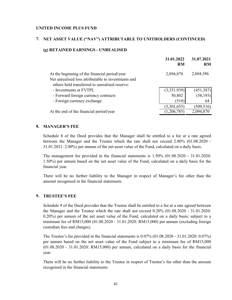## **7. NET ASSET VALUE ("NAV") ATTRIBUTABLE TO UNITHOLDERS (CONTINUED)**

## **(g) RETAINED EARNINGS - UNREALISED**

|                                                     | 31.01.2022<br><b>RM</b> | 31.07.2021<br><b>RM</b> |
|-----------------------------------------------------|-------------------------|-------------------------|
| At the beginning of the financial period/year       | 2,094,870               | 2,604,386               |
| Net unrealised loss attributable to investments and |                         |                         |
| others held transferred to unrealised reserve:      |                         |                         |
| - Investments at FVTPL                              | (3,351,939)             | (451, 387)              |
| - Forward foreign currency contracts                | 50,802                  | (58, 193)               |
| - Foreign currency exchange                         | (518)                   | 64                      |
|                                                     | (3,301,655)             | (509, 516)              |
| At the end of the financial period/year             | (1,206,785)             | 2,094,870               |
|                                                     |                         |                         |

## **8. MANAGER'S FEE**

Schedule 8 of the Deed provides that the Manager shall be entitled to a fee at a rate agreed between the Manager and the Trustee which the rate shall not exceed 2.00% (01.08.2020 - 31.01.2021: 2.00%) per annum of the net asset value of the Fund, calculated on a daily basis.

The management fee provided in the financial statements is 1.50% (01.08.2020 - 31.01.2020: 1.50%) per annum based on the net asset value of the Fund, calculated on a daily basis for the financial year.

There will be no further liability to the Manager in respect of Manager's fee other than the amount recognised in the financial statements.

## **9. TRUSTEE'S FEE**

Schedule 9 of the Deed provides that the Trustee shall be entitled to a fee at a rate agreed between the Manager and the Trustee which the rate shall not exceed 0.20% (01.08.2020 - 31.01.2020: 0.20%) per annum of the net asset value of the Fund, calculated on a daily basis; subject to a minimum fee of RM15,000 (01.08.2020 - 31.01.2020: RM15,000) per annum (excluding foreign custodian fees and charges).

The Trustee's fee provided in the financial statements is 0.07% (01.08.2020 - 31.01.2020: 0.07%) per annum based on the net asset value of the Fund subject to a minimum fee of RM15,000 (01.08.2020 - 31.01.2020: RM15,000) per annum, calculated on a daily basis for the financial year.

There will be no further liability to the Trustee in respect of Trustee's fee other than the amount recognised in the financial statements.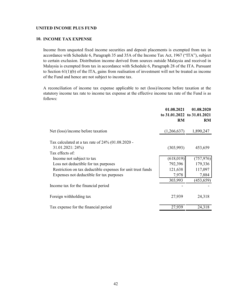### **10. INCOME TAX EXPENSE**

Income from unquoted fixed income securities and deposit placements is exempted from tax in accordance with Schedule 6, Paragraph 35 and 35A of the Income Tax Act, 1967 ("ITA"), subject to certain exclusion. Distribution income derived from sources outside Malaysia and received in Malaysia is exempted from tax in accordance with Schedule 6, Paragraph 28 of the ITA. Pursuant to Section 61(1)(b) of the ITA, gains from realisation of investment will not be treated as income of the Fund and hence are not subject to income tax.

A reconciliation of income tax expense applicable to net (loss)/income before taxation at the statutory income tax rate to income tax expense at the effective income tax rate of the Fund is as follows:

|                                                                           | 01.08.2021<br><b>RM</b> | 01.08.2020<br>to 31.01.2022 to 31.01.2021<br><b>RM</b> |
|---------------------------------------------------------------------------|-------------------------|--------------------------------------------------------|
| Net (loss)/income before taxation                                         | (1,266,637)             | 1,890,247                                              |
| Tax calculated at a tax rate of $24\%$ (01.08.2020 -<br>$31.01.2021:24\%$ | (303,993)               | 453,659                                                |
| Tax effects of:                                                           |                         |                                                        |
| Income not subject to tax                                                 | (618, 019)              | (757, 976)                                             |
| Loss not deductible for tax purposes                                      | 792,396                 | 179,336                                                |
| Restriction on tax deductible expenses for unit trust funds               | 121,638                 | 117,097                                                |
| Expenses not deductible for tax purposes                                  | 7,978                   | 7,884                                                  |
|                                                                           | 303,993                 | (453, 659)                                             |
| Income tax for the financial period                                       |                         |                                                        |
| Foreign withholding tax                                                   | 27,939                  | 24,318                                                 |
| Tax expense for the financial period                                      | 27,939                  | 24,318                                                 |
|                                                                           |                         |                                                        |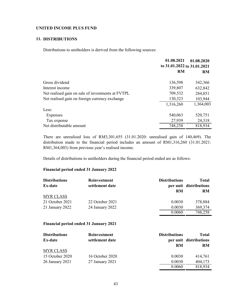## **11. DISTRIBUTIONS**

Distributions to unitholders is derived from the following sources:

|                                                   | 01.08.2021<br>to 31.01.2022 to 31.01.2021 | 01.08.2020 |
|---------------------------------------------------|-------------------------------------------|------------|
|                                                   | <b>RM</b>                                 | <b>RM</b>  |
| Gross dividend                                    | 136,598                                   | 342,366    |
| Interest income                                   | 339,807                                   | 632,842    |
| Net realised gain on sale of investments at FVTPL | 709,532                                   | 284,851    |
| Net realised gain on foreign currency exchange    | 130,323                                   | 103,944    |
|                                                   | 1,316,260                                 | 1,364,003  |
| Less:                                             |                                           |            |
| Expenses                                          | 540,063                                   | 520,751    |
| Tax expense                                       | 27,939                                    | 24,318     |
| Net distributable amount                          | 748,258                                   | 818,934    |

There are unrealised loss of RM3,301,655 (31.01.2020: unrealised gain of 140,469). The distribution made to the financial period includes an amount of RM1,316,260 (31.01.2021: RM1,364,003) from previous year's realised income.

Details of distributions to unitholders during the financial period ended are as follows:

## **Financial period ended 31 January 2022**

| <b>Distributions</b><br><b>Ex-date</b> | <b>Reinvestment</b><br>settlement date | <b>Distributions</b><br>RM | <b>Total</b><br>per unit distributions<br><b>RM</b> |
|----------------------------------------|----------------------------------------|----------------------------|-----------------------------------------------------|
| <b>MYR CLASS</b>                       |                                        |                            |                                                     |
| 21 October 2021                        | 22 October 2021                        | 0.0030                     | 378,884                                             |
| 21 January 2022                        | 24 January 2022                        | 0.0030                     | 369,374                                             |
|                                        |                                        | 0.0060                     | 748,258                                             |

## **Financial period ended 31 January 2021**

| <b>Distributions</b> | <b>Reinvestment</b> | <b>Distributions</b> | <b>Total</b>           |
|----------------------|---------------------|----------------------|------------------------|
| Ex-date              | settlement date     |                      | per unit distributions |
|                      |                     | RM                   | <b>RM</b>              |
| <b>MYR CLASS</b>     |                     |                      |                        |
| 15 October 2020      | 16 October 2020     | 0.0030               | 414,761                |
| 26 January 2021      | 27 January 2021     | 0.0030               | 404,173                |
|                      |                     | 0.0060               | 818,934                |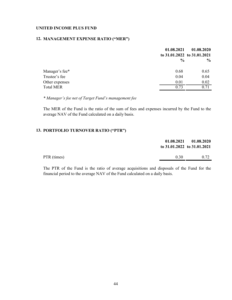## **12. MANAGEMENT EXPENSE RATIO ("MER")**

|                  | 01.08.2021    | 01.08.2020<br>to 31.01.2022 to 31.01.2021 |
|------------------|---------------|-------------------------------------------|
|                  | $\frac{0}{0}$ | $\frac{6}{9}$                             |
| Manager's fee*   | 0.68          | 0.65                                      |
| Trustee's fee    | 0.04          | 0.04                                      |
| Other expenses   | 0.01          | 0.02                                      |
| <b>Total MER</b> | 0.73          | 0.71                                      |

*\* Manager's fee net of Target Fund's management fee*

The MER of the Fund is the ratio of the sum of fees and expenses incurred by the Fund to the average NAV of the Fund calculated on a daily basis.

## **13. PORTFOLIO TURNOVER RATIO ("PTR")**

|             | to $31.01.2022$ to $31.01.2021$ | $01.08.2021$ $01.08.2020$ |
|-------------|---------------------------------|---------------------------|
| PTR (times) | 0.30                            | 0.72                      |

The PTR of the Fund is the ratio of average acquisitions and disposals of the Fund for the financial period to the average NAV of the Fund calculated on a daily basis.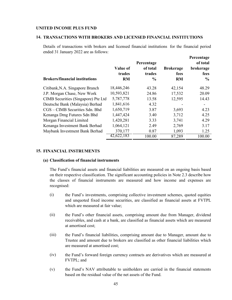### **14. TRANSACTIONS WITH BROKERS AND LICENSED FINANCIAL INSTITUTIONS**

Details of transactions with brokers and licensed financial institutions for the financial period ended 31 January 2022 are as follows:

**Percentage**

|                                       |                                 | Percentage                          |                                       | <b>Percentage</b><br>of total |
|---------------------------------------|---------------------------------|-------------------------------------|---------------------------------------|-------------------------------|
| <b>Brokers/financial institutions</b> | Value of<br>trades<br><b>RM</b> | of total<br>trades<br>$\frac{0}{0}$ | <b>Brokerage</b><br>fees<br><b>RM</b> | brokerage<br>fees<br>$\%$     |
| Citibank, N.A. Singapore Branch       | 18,446,246                      | 43.28                               | 42,154                                | 48.29                         |
| J.P. Morgan Chase, New Work           | 10,593,821                      | 24.86                               | 17,532                                | 20.09                         |
| CIMB Securities (Singapore) Pte Ltd   | 5,787,778                       | 13.58                               | 12,595                                | 14.43                         |
| Deutsche Bank (Malaysia) Berhad       | 1,841,616                       | 4.32                                |                                       |                               |
| CGS - CIMB Securities Sdn. Bhd        | 1,650,719                       | 3.87                                | 3,693                                 | 4.23                          |
| Kenanga Dmg Futures Sdn Bhd           | 1,447,424                       | 3.40                                | 3,712                                 | 4.25                          |
| Morgan Financial Limited              | 1,420,281                       | 3.33                                | 3,741                                 | 4.29                          |
| Kenanga Investment Bank Berhad        | 1,064,121                       | 2.49                                | 2,769                                 | 3.17                          |
| Maybank Investment Bank Berhad        | 370,177                         | 0.87                                | 1,093                                 | 1.25                          |
|                                       | 42,622,183                      | 100.00                              | 87,289                                | 100.00                        |

### **15. FINANCIAL INSTRUMENTS**

#### **(a) Classification of financial instruments**

The Fund's financial assets and financial liabilities are measured on an ongoing basis based on their respective classification. The significant accounting policies in Note 2.3 describe how the classes of financial instruments are measured and how income and expenses are recognised:

- (i) the Fund's investments, comprising collective investment schemes, quoted equities and unquoted fixed income securities, are classified as financial assets at FVTPL which are measured at fair value;
- (ii) the Fund's other financial assets, comprising amount due from Manager, dividend receivables, and cash at a bank, are classified as financial assets which are measured at amortised cost;
- $(iii)$ the Fund's financial liabilities, comprising amount due to Manager, amount due to Trustee and amount due to brokers are classified as other financial liabilities which are measured at amortised cost;
- $(iv)$ the Fund's forward foreign currency contracts are derivatives which are measured at FVTPL; and
- (v) the Fund's NAV attributable to unitholders are carried in the financial statements based on the residual value of the net assets of the Fund.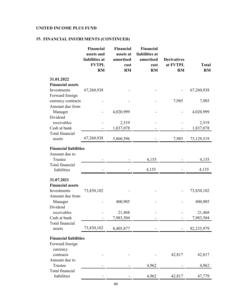# **15. FINANCIAL INSTRUMENTS (CONTINUED)**

|                                       | Financial<br>assets and<br>liabilities at<br><b>FVTPL</b><br><b>RM</b> | <b>Financial</b><br>assets at<br>amortised<br>cost<br><b>RM</b> | <b>Financial</b><br>liabilities at<br>amortised<br>cost<br><b>RM</b> | <b>Derivatives</b><br>at FVTPL<br>RM | <b>Total</b><br>RM |
|---------------------------------------|------------------------------------------------------------------------|-----------------------------------------------------------------|----------------------------------------------------------------------|--------------------------------------|--------------------|
| 31.01.2022<br><b>Financial assets</b> |                                                                        |                                                                 |                                                                      |                                      |                    |
| Investments                           | 67,260,938                                                             |                                                                 |                                                                      |                                      | 67,260,938         |
| Forward foreign                       |                                                                        |                                                                 |                                                                      |                                      |                    |
| currency contracts                    |                                                                        |                                                                 |                                                                      | 7,985                                | 7,985              |
| Amount due from                       |                                                                        |                                                                 |                                                                      |                                      |                    |
| Manager<br>Dividend                   |                                                                        | 4,020,999                                                       |                                                                      |                                      | 4,020,999          |
| receivables                           |                                                                        | 2,519                                                           |                                                                      |                                      | 2,519              |
| Cash at bank                          |                                                                        | 1,837,078                                                       |                                                                      |                                      | 1,837,078          |
| Total financial                       |                                                                        |                                                                 |                                                                      |                                      |                    |
| assets                                | 67,260,938                                                             | 5,860,596                                                       |                                                                      | 7,985                                | 73,129,519         |
| <b>Financial liabilities</b>          |                                                                        |                                                                 |                                                                      |                                      |                    |
| Amount due to                         |                                                                        |                                                                 |                                                                      |                                      |                    |
| Trustee                               |                                                                        |                                                                 | 4,155                                                                |                                      | 4,155              |
| Total financial<br>liabilities        |                                                                        |                                                                 | 4,155                                                                |                                      | 4,155              |
|                                       |                                                                        |                                                                 |                                                                      |                                      |                    |
| 31.07.2021                            |                                                                        |                                                                 |                                                                      |                                      |                    |
| <b>Financial assets</b>               |                                                                        |                                                                 |                                                                      |                                      |                    |
| Investments<br>Amount due from        | 73,830,102                                                             |                                                                 |                                                                      |                                      | 73,830,102         |
| Manager                               |                                                                        | 400,905                                                         |                                                                      |                                      | 400,905            |
| Dividend                              |                                                                        |                                                                 |                                                                      |                                      |                    |
| receivables                           |                                                                        | 21,468                                                          |                                                                      |                                      | 21,468             |
| Cash at bank                          |                                                                        | 7,983,504                                                       |                                                                      |                                      | 7,983,504          |
| Total financial<br>assets             | 73,830,102                                                             | 8,405,877                                                       |                                                                      |                                      | 82,235,979         |
| <b>Financial liabilities</b>          |                                                                        |                                                                 |                                                                      |                                      |                    |
| Forward foreign                       |                                                                        |                                                                 |                                                                      |                                      |                    |
| currency                              |                                                                        |                                                                 |                                                                      |                                      |                    |
| contracts                             |                                                                        |                                                                 |                                                                      | 42,817                               | 42,817             |
| Amount due to                         |                                                                        |                                                                 |                                                                      |                                      |                    |
| Trustee                               |                                                                        |                                                                 | 4,962                                                                |                                      | 4,962              |
| Total financial<br>liabilities        |                                                                        |                                                                 | 4,962                                                                | 42,817                               | 47,779             |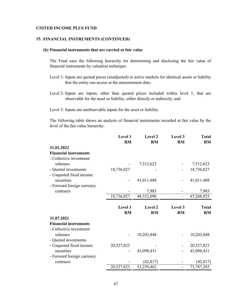### **15. FINANCIAL INSTRUMENTS (CONTINUED)**

#### **(b) Financial instruments that are carried at fair value**

The Fund uses the following hierarchy for determining and disclosing the fair value of financial instruments by valuation technique:

- Level 1: Inputs are quoted prices (unadjusted) in active markets for identical assets or liability that the entity can access at the measurement date;
- Level 2: Inputs are inputs, other than quoted prices included within level 1, that are observable for the asset or liability, either directly or indirectly; and

Level 3: Inputs are unobservable inputs for the asset or liability.

The following table shows an analysis of financial instruments recorded at fair value by the level of the fair value hierarchy:

|                              | Level 1<br><b>RM</b> | Level 2<br><b>RM</b> | Level 3<br><b>RM</b> | <b>Total</b><br>RM |
|------------------------------|----------------------|----------------------|----------------------|--------------------|
| 31.01.2022                   |                      |                      |                      |                    |
| <b>Financial instruments</b> |                      |                      |                      |                    |
| - Collective investment      |                      |                      |                      |                    |
| schemes                      |                      | 7,512,623            |                      | 7,512,623          |
| - Quoted investments         | 18,736,827           |                      |                      | 18,736,827         |
| - Unquoted fixed income      |                      |                      |                      |                    |
| securities                   |                      | 41,011,488           |                      | 41,011,488         |
| - Forward foreign currency   |                      |                      |                      |                    |
| contracts                    |                      | 7,985                |                      | 7,985              |
|                              | 18,736,827           | 48,532,096           |                      | 67,268,923         |
|                              | Level 1              | Level 2              | Level 3              | <b>Total</b>       |
|                              | <b>RM</b>            | <b>RM</b>            | <b>RM</b>            | <b>RM</b>          |
| 31.07.2021                   |                      |                      |                      |                    |
| <b>Financial instruments</b> |                      |                      |                      |                    |
| - Collective investment      |                      |                      |                      |                    |
| schemes                      |                      | 10,203,848           |                      | 10,203,848         |
| - Quoted investments         |                      |                      |                      |                    |
| - Unquoted fixed income      | 20,527,823           |                      |                      | 20,527,823         |
| securities                   |                      | 43,098,431           |                      | 43,098,431         |
| - Forward foreign currency   |                      |                      |                      |                    |
| contracts                    |                      | (42, 817)            |                      | (42, 817)          |
|                              | 20,527,823           | 53,259,462           |                      | 73,787,285         |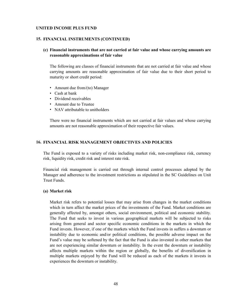### **15. FINANCIAL INSTRUMENTS (CONTINUED)**

## **(c) Financial instruments that are not carried at fair value and whose carrying amounts are reasonable approximations of fair value**

The following are classes of financial instruments that are not carried at fair value and whose carrying amounts are reasonable approximation of fair value due to their short period to maturity or short credit period:

- Amount due from/(to) Manager
- Cash at bank
- Dividend receivables
- Amount due to Trustee
- NAV attributable to unitholders

There were no financial instruments which are not carried at fair values and whose carrying amounts are not reasonable approximation of their respective fair values.

### **16. FINANCIAL RISK MANAGEMENT OBJECTIVES AND POLICIES**

The Fund is exposed to a variety of risks including market risk, non-compliance risk, currency risk, liquidity risk, credit risk and interest rate risk.

Financial risk management is carried out through internal control processes adopted by the Manager and adherence to the investment restrictions as stipulated in the SC Guidelines on Unit Trust Funds.

#### **(a) Market risk**

Market risk refers to potential losses that may arise from changes in the market conditions which in turn affect the market prices of the investments of the Fund. Market conditions are generally affected by, amongst others, social environment, political and economic stability. The Fund that seeks to invest in various geographical markets will be subjected to risks arising from general and sector specific economic conditions in the markets in which the Fund invests. However, if one of the markets which the Fund invests in suffers a downturn or instability due to economic and/or political conditions, the possible adverse impact on the Fund's value may be softened by the fact that the Fund is also invested in other markets that are not experiencing similar downturn or instability. In the event the downturn or instability affects multiple markets within the region or globally, the benefits of diversification in multiple markets enjoyed by the Fund will be reduced as each of the markets it invests in experiences the downturn or instability.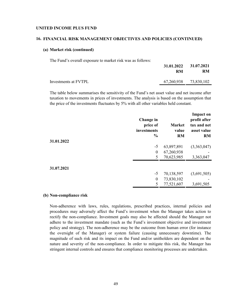#### **16. FINANCIAL RISK MANAGEMENT OBJECTIVES AND POLICIES (CONTINUED)**

### **(a) Market risk (continued)**

The Fund's overall exposure to market risk was as follows:

|                      | RM | 31.01.2022 31.07.2021<br>RM |
|----------------------|----|-----------------------------|
| Investments at FVTPL |    | 67,260,938 73,830,102       |
|                      |    |                             |

The table below summarises the sensitivity of the Fund's net asset value and net income after taxation to movements in prices of investments. The analysis is based on the assumption that the price of the investments fluctuates by 5% with all other variables held constant.

|            | Change in<br>price of<br>investments<br>$\frac{1}{2}$ | <b>Market</b><br>value<br><b>RM</b> | <b>Impact on</b><br>profit after<br>tax and net<br>asset value<br><b>RM</b> |
|------------|-------------------------------------------------------|-------------------------------------|-----------------------------------------------------------------------------|
| 31.01.2022 | $-5$                                                  | 63,897,891                          | (3,363,047)                                                                 |
|            | $\theta$                                              | 67,260,938                          |                                                                             |
|            | 5                                                     | 70,623,985                          | 3,363,047                                                                   |
| 31.07.2021 |                                                       |                                     |                                                                             |
|            | $-5$                                                  | 70,138,597                          | (3,691,505)                                                                 |
|            | $\boldsymbol{0}$                                      | 73,830,102                          |                                                                             |
|            | 5                                                     | 77,521,607                          | 3,691,505                                                                   |

#### **(b) Non-compliance risk**

Non-adherence with laws, rules, regulations, prescribed practices, internal policies and procedures may adversely affect the Fund's investment when the Manager takes action to rectify the non-compliance. Investment goals may also be affected should the Manager not adhere to the investment mandate (such as the Fund's investment objective and investment policy and strategy). The non-adherence may be the outcome from human error (for instance the oversight of the Manager) or system failure (causing unnecessary downtime). The magnitude of such risk and its impact on the Fund and/or unitholders are dependent on the nature and severity of the non-compliance. In order to mitigate this risk, the Manager has stringent internal controls and ensures that compliance monitoring processes are undertaken.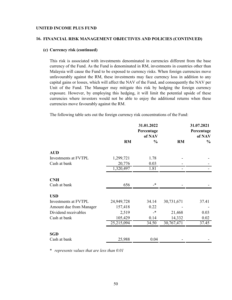#### **16. FINANCIAL RISK MANAGEMENT OBJECTIVES AND POLICIES (CONTINUED)**

### **(c) Currency risk (continued)**

This risk is associated with investments denominated in currencies different from the base currency of the Fund. As the Fund is denominated in RM, investments in countries other than Malaysia will cause the Fund to be exposed to currency risks. When foreign currencies move unfavourably against the RM, these investments may face currency loss in addition to any capital gains or losses, which will affect the NAV of the Fund, and consequently the NAV per Unit of the Fund. The Manager may mitigate this risk by hedging the foreign currency exposure. However, by employing this hedging, it will limit the potential upside of these currencies where investors would not be able to enjoy the additional returns when these currencies move favourably against the RM.

The following table sets out the foreign currency risk concentrations of the Fund:

|                         |            | 31.01.2022<br>Percentage<br>of NAV |            | 31.07.2021<br>Percentage<br>of NAV |
|-------------------------|------------|------------------------------------|------------|------------------------------------|
|                         | <b>RM</b>  | $\frac{0}{0}$                      | RM         | $\frac{6}{9}$                      |
| <b>AUD</b>              |            |                                    |            |                                    |
| Investments at FVTPL    | 1,299,721  | 1.78                               |            |                                    |
| Cash at bank            | 20,776     | 0.03                               |            |                                    |
|                         | 1,320,497  | 1.81                               |            |                                    |
| <b>CNH</b>              |            |                                    |            |                                    |
| Cash at bank            | 656        | $\cdot$                            |            |                                    |
| <b>USD</b>              |            |                                    |            |                                    |
| Investments at FVTPL    | 24,949,728 | 34.14                              | 30,731,671 | 37.41                              |
| Amount due from Manager | 157,418    | 0.22                               |            |                                    |
| Dividend receivables    | 2,519      | $\cdot$                            | 21,468     | 0.03                               |
| Cash at bank            | 105,429    | 0.14                               | 14,332     | 0.02                               |
|                         | 25,215,094 | 34.50                              | 30,767,471 | 37.45                              |
| <b>SGD</b>              |            |                                    |            |                                    |
| Cash at bank            | 25,988     | 0.04                               |            |                                    |

\* *represents values that are less than 0.01*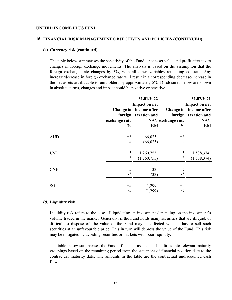### **16. FINANCIAL RISK MANAGEMENT OBJECTIVES AND POLICIES (CONTINUED)**

## **(c) Currency risk (continued)**

The table below summarises the sensitivity of the Fund's net asset value and profit after tax to changes in foreign exchange movements. The analysis is based on the assumption that the foreign exchange rate changes by 5%, with all other variables remaining constant. Any increase/decrease in foreign exchange rate will result in a corresponding decrease/increase in the net assets attributable to unitholders by approximately 5%. Disclosures below are shown in absolute terms, changes and impact could be positive or negative.

|            |               | 31.01.2022                                     |                      | 31.07.2021                                     |  |
|------------|---------------|------------------------------------------------|----------------------|------------------------------------------------|--|
|            |               | Impact on net                                  | <b>Impact on net</b> |                                                |  |
|            |               | Change in income after<br>foreign taxation and |                      | Change in income after<br>foreign taxation and |  |
|            | exchange rate |                                                | NAV exchange rate    | <b>NAV</b>                                     |  |
|            | $\frac{0}{0}$ | RM                                             | $\frac{6}{9}$        | <b>RM</b>                                      |  |
| <b>AUD</b> | $+5$          | 66,025                                         | $+5$                 |                                                |  |
|            | $-5$          | (66,025)                                       | $-5$                 |                                                |  |
| <b>USD</b> | $+5$          | 1,260,755                                      | $+5$                 | 1,538,374                                      |  |
|            | $-5$          | (1,260,755)                                    | $-5$                 | (1,538,374)                                    |  |
| <b>CNH</b> | $+5$          | 33                                             | $+5$                 |                                                |  |
|            | $-5$          | (33)                                           | $-5$                 |                                                |  |
|            |               |                                                |                      |                                                |  |
| SG         | $+5$<br>$-5$  | 1,299<br>(1,299)                               | $+5$<br>$-5$         |                                                |  |

## **(d) Liquidity risk**

Liquidity risk refers to the ease of liquidating an investment depending on the investment's volume traded in the market. Generally, if the Fund holds many securities that are illiquid, or difficult to dispose of, the value of the Fund may be affected when it has to sell such securities at an unfavourable price. This in turn will depress the value of the Fund. This risk may be mitigated by avoiding securities or markets with poor liquidity.

The table below summarises the Fund's financial assets and liabilities into relevant maturity groupings based on the remaining period from the statement of financial position date to the contractual maturity date. The amounts in the table are the contractual undiscounted cash flows.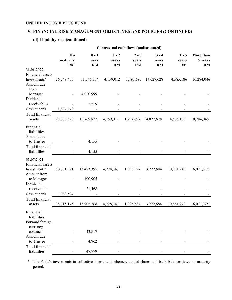#### **16. FINANCIAL RISK MANAGEMENT OBJECTIVES AND POLICIES (CONTINUED)**

## **(d) Liquidity risk (continued)**

|                                               |                             |                              | Contractual cash flows (undiscounted) |                        |                               |                               |                                   |
|-----------------------------------------------|-----------------------------|------------------------------|---------------------------------------|------------------------|-------------------------------|-------------------------------|-----------------------------------|
|                                               | No<br>maturity<br><b>RM</b> | $0 - 1$<br>year<br><b>RM</b> | $1 - 2$<br>years<br><b>RM</b>         | $2 - 3$<br>years<br>RM | $3 - 4$<br>years<br><b>RM</b> | $4 - 5$<br>years<br><b>RM</b> | More than<br>5 years<br><b>RM</b> |
| 31.01.2022                                    |                             |                              |                                       |                        |                               |                               |                                   |
| <b>Financial assets</b>                       |                             |                              |                                       |                        |                               |                               |                                   |
| Investments*                                  | 26,249,450                  | 11,746,304                   | 4,159,012                             | 1,797,697              | 14,027,628                    | 4,585,186                     | 10,284,046                        |
| Amount due                                    |                             |                              |                                       |                        |                               |                               |                                   |
| from                                          |                             |                              |                                       |                        |                               |                               |                                   |
| Manager<br>Dividend                           |                             | 4,020,999                    |                                       |                        |                               |                               |                                   |
| receivables                                   |                             | 2,519                        |                                       |                        |                               |                               |                                   |
| Cash at bank                                  | 1,837,078                   |                              |                                       |                        |                               |                               |                                   |
| <b>Total financial</b>                        |                             |                              |                                       |                        |                               |                               |                                   |
| assets                                        | 28,086,528                  | 15,769,822                   | 4,159,012                             | 1,797,697              | 14,027,628                    | 4,585,186                     | 10,284,046                        |
| Financial<br><b>liabilities</b><br>Amount due |                             |                              |                                       |                        |                               |                               |                                   |
| to Trustee                                    |                             | 4,155                        |                                       |                        |                               |                               |                                   |
| <b>Total financial</b>                        |                             |                              |                                       |                        |                               |                               |                                   |
| <b>liabilities</b>                            |                             | 4,155                        |                                       |                        |                               |                               |                                   |
| 31.07.2021                                    |                             |                              |                                       |                        |                               |                               |                                   |
| <b>Financial assets</b>                       |                             |                              |                                       |                        |                               |                               |                                   |
| Investments*                                  | 30,731,671                  | 13,483,395                   | 4,228,347                             | 1,095,587              | 3,772,684                     | 10,881,243                    | 16,071,325                        |
| Amount from                                   |                             |                              |                                       |                        |                               |                               |                                   |
| to Manager                                    |                             | 400,905                      |                                       |                        |                               |                               |                                   |
| Dividend                                      |                             |                              |                                       |                        |                               |                               |                                   |
| receivables<br>Cash at bank                   | 7,983,504                   | 21,468                       |                                       |                        |                               |                               |                                   |
| <b>Total financial</b>                        |                             |                              |                                       |                        |                               |                               |                                   |
| assets                                        | 38,715,175                  | 13,905,768                   | 4,228,347                             | 1,095,587              | 3,772,684                     | 10,881,243                    | 16,071,325                        |
| Financial<br>liabilities<br>Forward foreign   |                             |                              |                                       |                        |                               |                               |                                   |
| currency                                      |                             |                              |                                       |                        |                               |                               |                                   |
| contracts                                     |                             | 42,817                       |                                       |                        |                               |                               |                                   |
| Amount due                                    |                             |                              |                                       |                        |                               |                               |                                   |
| to Trustee                                    |                             | 4,962                        |                                       |                        |                               |                               |                                   |
| <b>Total financial</b><br>liabilities         |                             | 47,779                       |                                       |                        |                               |                               |                                   |

\* The Fund's investments in collective investment schemes, quoted shares and bank balances have no maturity period.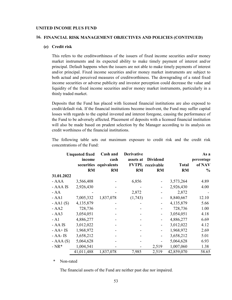### **16. FINANCIAL RISK MANAGEMENT OBJECTIVES AND POLICIES (CONTINUED)**

## **(e) Credit risk**

This refers to the creditworthiness of the issuers of fixed income securities and/or money market instruments and its expected ability to make timely payment of interest and/or principal. Default happens when the issuers are not able to make timely payments of interest and/or principal. Fixed income securities and/or money market instruments are subject to both actual and perceived measures of creditworthiness. The downgrading of a rated fixed income securities or adverse publicity and investor perception could decrease the value and liquidity of the fixed income securities and/or money market instruments, particularly in a thinly traded market.

Deposits that the Fund has placed with licensed financial institutions are also exposed to credit/default risk. If the financial institutions become insolvent, the Fund may suffer capital losses with regards to the capital invested and interest foregone, causing the performance of the Fund to be adversely affected. Placement of deposits with a licensed financial institution will also be made based on prudent selection by the Manager according to its analysis on credit worthiness of the financial institutions.

The following table sets out maximum exposure to credit risk and the credit risk concentrations of the Fund:

|             | <b>Unquoted fixed</b><br>income | Cash and<br>cash<br>securities equivalents | <b>Derivative</b><br>assets at | <b>Dividend</b><br><b>FVTPL</b> receivable | <b>Total</b> | As a<br>percentage<br>of NAV |
|-------------|---------------------------------|--------------------------------------------|--------------------------------|--------------------------------------------|--------------|------------------------------|
|             | <b>RM</b>                       | RM                                         | <b>RM</b>                      | <b>RM</b>                                  | <b>RM</b>    | $\frac{0}{0}$                |
| 31.01.2022  |                                 |                                            |                                |                                            |              |                              |
| $- AAA$     | 3,566,408                       |                                            | 6,856                          |                                            | 3,573,264    | 4.89                         |
| - AAA IS    | 2,926,430                       |                                            |                                |                                            | 2,926,430    | 4.00                         |
| $- AA$      |                                 |                                            | 2,872                          |                                            | 2,872        |                              |
| $- AA1$     | 7,005,332                       | 1,837,078                                  | (1,743)                        |                                            | 8,840,667    | 12.10                        |
| $-AA1(S)$   | 4,135,879                       |                                            |                                |                                            | 4,135,879    | 5.66                         |
| $- AA2$     | 728,736                         |                                            |                                |                                            | 728,736      | 1.00                         |
| $- AA3$     | 3,054,051                       |                                            |                                |                                            | 3,054,051    | 4.18                         |
| $- A1$      | 4,886,277                       |                                            |                                |                                            | 4,886,277    | 6.69                         |
| - AA IS     | 3,012,022                       |                                            |                                |                                            | 3,012,022    | 4.12                         |
| $- AA + IS$ | 1,968,972                       |                                            |                                |                                            | 1,968,972    | 2.69                         |
| $- AA - IS$ | 3,658,212                       |                                            |                                |                                            | 3,658,212    | 5.01                         |
| $- AAA(S)$  | 5,064,628                       |                                            |                                |                                            | 5,064,628    | 6.93                         |
| $- NR^*$    | 1,004,541                       |                                            |                                | 2,519                                      | 1,007,060    | 1.38                         |
|             | 41,011,488                      | 1,837,078                                  | 7,985                          | 2,519                                      | 42,859,070   | 58.65                        |

*\** Non-rated

The financial assets of the Fund are neither past due nor impaired.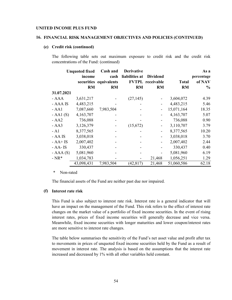### **16. FINANCIAL RISK MANAGEMENT OBJECTIVES AND POLICIES (CONTINUED)**

#### **(e) Credit risk (continued)**

The following table sets out maximum exposure to credit risk and the credit risk concentrations of the Fund: (continued)

|             | <b>Unquoted fixed</b> | Cash and               | <b>Derivative</b> |                         |              | As a       |
|-------------|-----------------------|------------------------|-------------------|-------------------------|--------------|------------|
|             | income                | cash                   | liabilities at    | <b>Dividend</b>         |              | percentage |
|             |                       | securities equivalents |                   | <b>FVTPL</b> receivable | <b>Total</b> | of NAV     |
|             | <b>RM</b>             | <b>RM</b>              | <b>RM</b>         | <b>RM</b>               | <b>RM</b>    | $\%$       |
| 31.07.2021  |                       |                        |                   |                         |              |            |
| - AAA       | 3,631,217             |                        | (27, 145)         |                         | 3,604,072    | 4.39       |
| - AAA IS    | 4,483,215             |                        |                   |                         | 4,483,215    | 5.46       |
| $- AA1$     | 7,087,660             | 7,983,504              |                   |                         | 15,071,164   | 18.35      |
| $-AA1(S)$   | 4,163,707             |                        |                   |                         | 4,163,707    | 5.07       |
| $- AA2$     | 736,088               |                        |                   |                         | 736,088      | 0.90       |
| $- AA3$     | 3,126,379             |                        | (15,672)          |                         | 3,110,707    | 3.79       |
| - A1        | 8,377,565             |                        |                   |                         | 8,377,565    | 10.20      |
| - AA IS     | 3,038,018             |                        |                   | -                       | 3,038,018    | 3.70       |
| $- AA + IS$ | 2,007,402             |                        |                   |                         | 2,007,402    | 2.44       |
| - AA- IS    | 330,437               |                        |                   |                         | 330,437      | 0.40       |
| $- AAA(S)$  | 5,081,960             |                        |                   |                         | 5,081,960    | 6.19       |
| $- NR^*$    | 1,034,783             |                        |                   | 21,468                  | 1,056,251    | 1.29       |
|             | 43,098,431            | 7,983,504              | (42, 817)         | 21,468                  | 51,060,586   | 62.18      |

*\** Non-rated

The financial assets of the Fund are neither past due nor impaired.

#### **(f) Interest rate risk**

This Fund is also subject to interest rate risk. Interest rate is a general indicator that will have an impact on the management of the Fund. This risk refers to the effect of interest rate changes on the market value of a portfolio of fixed income securities. In the event of rising interest rates, prices of fixed income securities will generally decrease and vice versa. Meanwhile, fixed income securities with longer maturities and lower coupon/interest rates are more sensitive to interest rate changes.

The table below summarises the sensitivity of the Fund's net asset value and profit after tax to movements in prices of unquoted fixed income securities held by the Fund as a result of movement in interest rate. The analysis is based on the assumptions that the interest rate increased and decreased by 1% with all other variables held constant.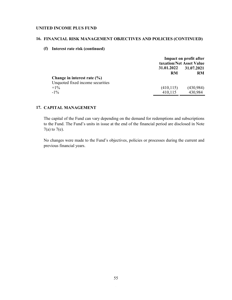#### **16. FINANCIAL RISK MANAGEMENT OBJECTIVES AND POLICIES (CONTINUED)**

## **(f) Interest rate risk (continued)**

|                                  | Impact on profit after<br>taxation/Net Asset Value |           |  |
|----------------------------------|----------------------------------------------------|-----------|--|
|                                  | 31.01.2022<br>31.07.2021                           |           |  |
|                                  | RM                                                 |           |  |
| Change in interest rate $(\% )$  |                                                    |           |  |
| Unquoted fixed income securities |                                                    |           |  |
| $+1\%$                           | (410, 115)                                         | (430,984) |  |
| $-1\%$                           | 410,115                                            | 430,984   |  |

## **17. CAPITAL MANAGEMENT**

The capital of the Fund can vary depending on the demand for redemptions and subscriptions to the Fund. The Fund's units in issue at the end of the financial period are disclosed in Note  $7(a)$  to  $7(e)$ .

No changes were made to the Fund's objectives, policies or processes during the current and previous financial years.